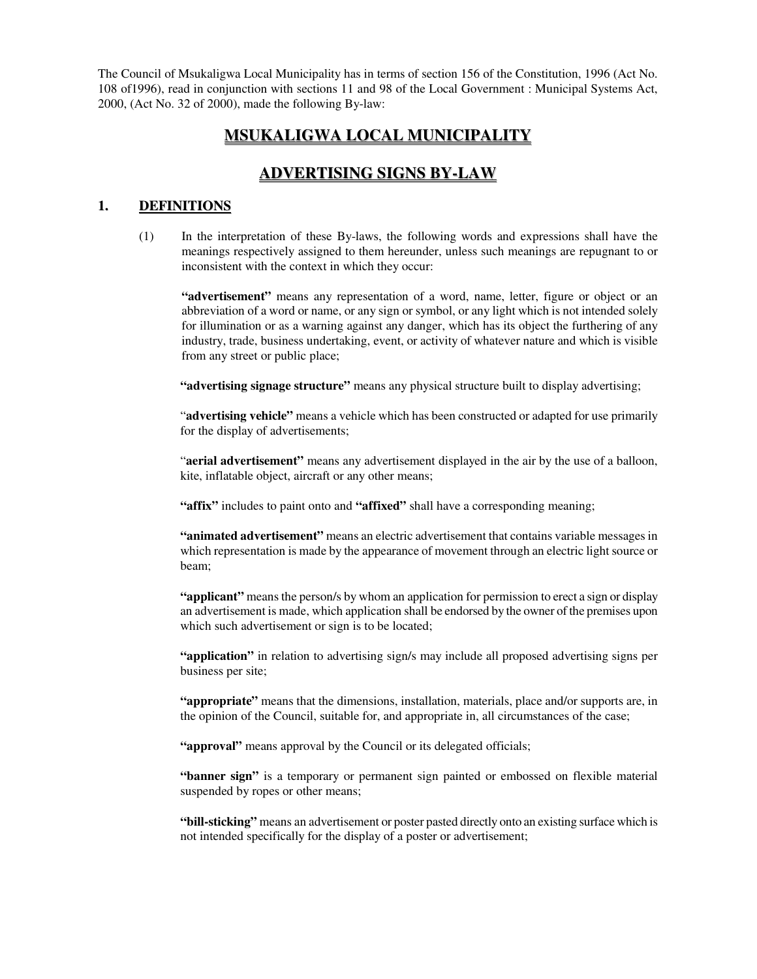The Council of Msukaligwa Local Municipality has in terms of section 156 of the Constitution, 1996 (Act No. 108 of1996), read in conjunction with sections 11 and 98 of the Local Government : Municipal Systems Act, 2000, (Act No. 32 of 2000), made the following By-law:

# **MSUKALIGWA LOCAL MUNICIPALITY**

# **ADVERTISING SIGNS BY-LAW**

### **1. DEFINITIONS**

(1) In the interpretation of these By-laws, the following words and expressions shall have the meanings respectively assigned to them hereunder, unless such meanings are repugnant to or inconsistent with the context in which they occur:

**"advertisement"** means any representation of a word, name, letter, figure or object or an abbreviation of a word or name, or any sign or symbol, or any light which is not intended solely for illumination or as a warning against any danger, which has its object the furthering of any industry, trade, business undertaking, event, or activity of whatever nature and which is visible from any street or public place;

**"advertising signage structure"** means any physical structure built to display advertising;

"**advertising vehicle"** means a vehicle which has been constructed or adapted for use primarily for the display of advertisements;

"**aerial advertisement"** means any advertisement displayed in the air by the use of a balloon, kite, inflatable object, aircraft or any other means;

**"affix"** includes to paint onto and **"affixed"** shall have a corresponding meaning;

**"animated advertisement"** means an electric advertisement that contains variable messages in which representation is made by the appearance of movement through an electric light source or beam;

**"applicant"** means the person/s by whom an application for permission to erect a sign or display an advertisement is made, which application shall be endorsed by the owner of the premises upon which such advertisement or sign is to be located;

**"application"** in relation to advertising sign/s may include all proposed advertising signs per business per site;

**"appropriate"** means that the dimensions, installation, materials, place and/or supports are, in the opinion of the Council, suitable for, and appropriate in, all circumstances of the case;

"**approval**" means approval by the Council or its delegated officials;

**"banner sign"** is a temporary or permanent sign painted or embossed on flexible material suspended by ropes or other means;

**"bill-sticking"** means an advertisement or poster pasted directly onto an existing surface which is not intended specifically for the display of a poster or advertisement;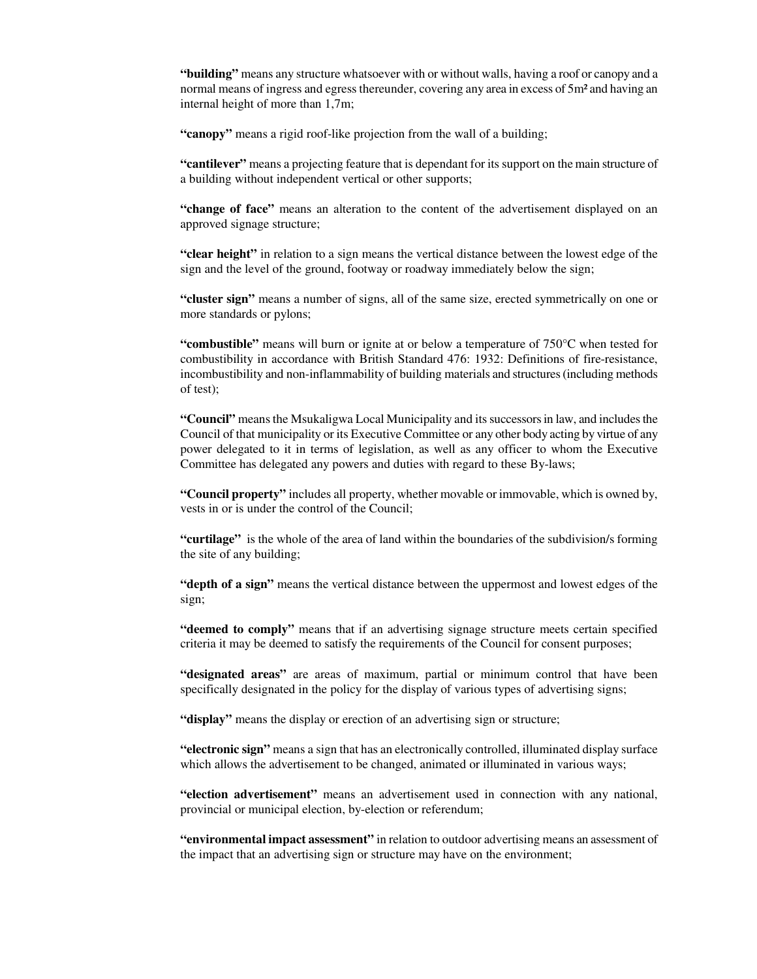**"building"** means any structure whatsoever with or without walls, having a roof or canopy and a normal means of ingress and egress thereunder, covering any area in excess of  $5m<sup>2</sup>$  and having an internal height of more than 1,7m;

**"canopy"** means a rigid roof-like projection from the wall of a building;

**"cantilever"** means a projecting feature that is dependant for its support on the main structure of a building without independent vertical or other supports;

**"change of face"** means an alteration to the content of the advertisement displayed on an approved signage structure;

**"clear height"** in relation to a sign means the vertical distance between the lowest edge of the sign and the level of the ground, footway or roadway immediately below the sign;

**"cluster sign"** means a number of signs, all of the same size, erected symmetrically on one or more standards or pylons;

**"combustible"** means will burn or ignite at or below a temperature of 750°C when tested for combustibility in accordance with British Standard 476: 1932: Definitions of fire-resistance, incombustibility and non-inflammability of building materials and structures(including methods of test);

**"Council"** means the Msukaligwa Local Municipality and its successors in law, and includes the Council of that municipality or its Executive Committee or any other body acting by virtue of any power delegated to it in terms of legislation, as well as any officer to whom the Executive Committee has delegated any powers and duties with regard to these By-laws;

**"Council property"** includes all property, whether movable or immovable, which is owned by, vests in or is under the control of the Council;

**"curtilage"** is the whole of the area of land within the boundaries of the subdivision/s forming the site of any building;

**"depth of a sign"** means the vertical distance between the uppermost and lowest edges of the sign;

**"deemed to comply"** means that if an advertising signage structure meets certain specified criteria it may be deemed to satisfy the requirements of the Council for consent purposes;

**"designated areas"** are areas of maximum, partial or minimum control that have been specifically designated in the policy for the display of various types of advertising signs;

**"display"** means the display or erection of an advertising sign or structure;

**"electronic sign"** means a sign that has an electronically controlled, illuminated display surface which allows the advertisement to be changed, animated or illuminated in various ways;

**"election advertisement"** means an advertisement used in connection with any national, provincial or municipal election, by-election or referendum;

**"environmental impact assessment"** in relation to outdoor advertising means an assessment of the impact that an advertising sign or structure may have on the environment;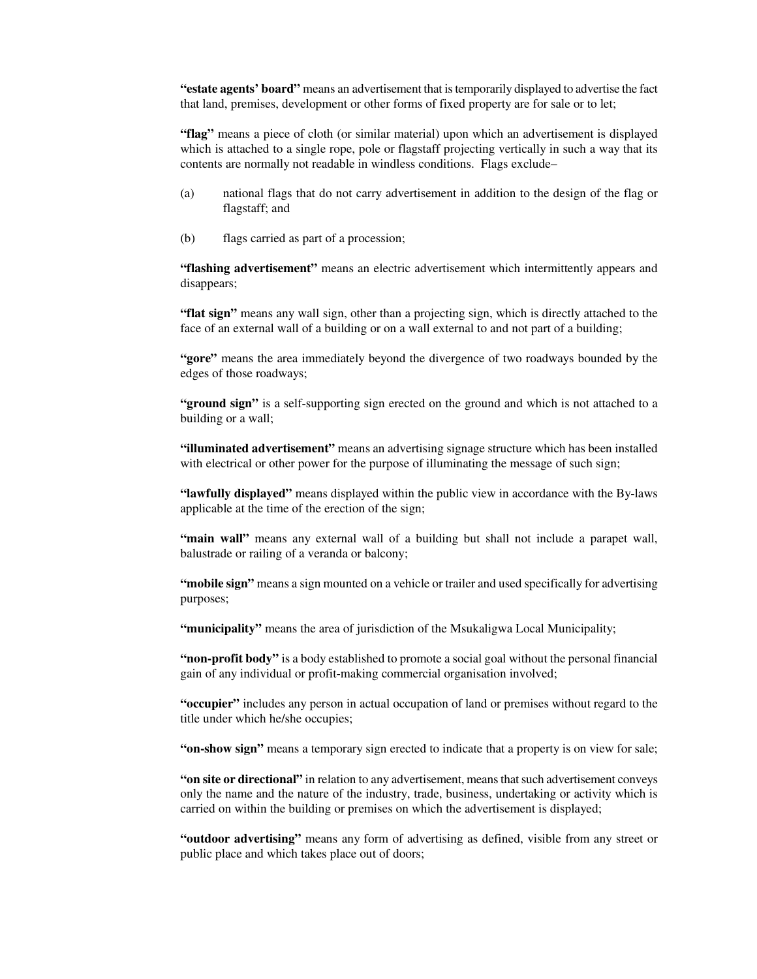**"estate agents' board"** means an advertisement that istemporarily displayed to advertise the fact that land, premises, development or other forms of fixed property are for sale or to let;

**"flag"** means a piece of cloth (or similar material) upon which an advertisement is displayed which is attached to a single rope, pole or flagstaff projecting vertically in such a way that its contents are normally not readable in windless conditions. Flags exclude–

- (a) national flags that do not carry advertisement in addition to the design of the flag or flagstaff; and
- (b) flags carried as part of a procession;

**"flashing advertisement"** means an electric advertisement which intermittently appears and disappears;

**"flat sign"** means any wall sign, other than a projecting sign, which is directly attached to the face of an external wall of a building or on a wall external to and not part of a building;

**"gore"** means the area immediately beyond the divergence of two roadways bounded by the edges of those roadways;

**"ground sign"** is a self-supporting sign erected on the ground and which is not attached to a building or a wall;

**"illuminated advertisement"** means an advertising signage structure which has been installed with electrical or other power for the purpose of illuminating the message of such sign;

**"lawfully displayed"** means displayed within the public view in accordance with the By-laws applicable at the time of the erection of the sign;

**"main wall"** means any external wall of a building but shall not include a parapet wall, balustrade or railing of a veranda or balcony;

**"mobile sign"** means a sign mounted on a vehicle or trailer and used specifically for advertising purposes;

**"municipality"** means the area of jurisdiction of the Msukaligwa Local Municipality;

**"non-profit body"** is a body established to promote a social goal without the personal financial gain of any individual or profit-making commercial organisation involved;

**"occupier"** includes any person in actual occupation of land or premises without regard to the title under which he/she occupies;

**"on-show sign"** means a temporary sign erected to indicate that a property is on view for sale;

**"on site or directional"** in relation to any advertisement, meansthatsuch advertisement conveys only the name and the nature of the industry, trade, business, undertaking or activity which is carried on within the building or premises on which the advertisement is displayed;

**"outdoor advertising"** means any form of advertising as defined, visible from any street or public place and which takes place out of doors;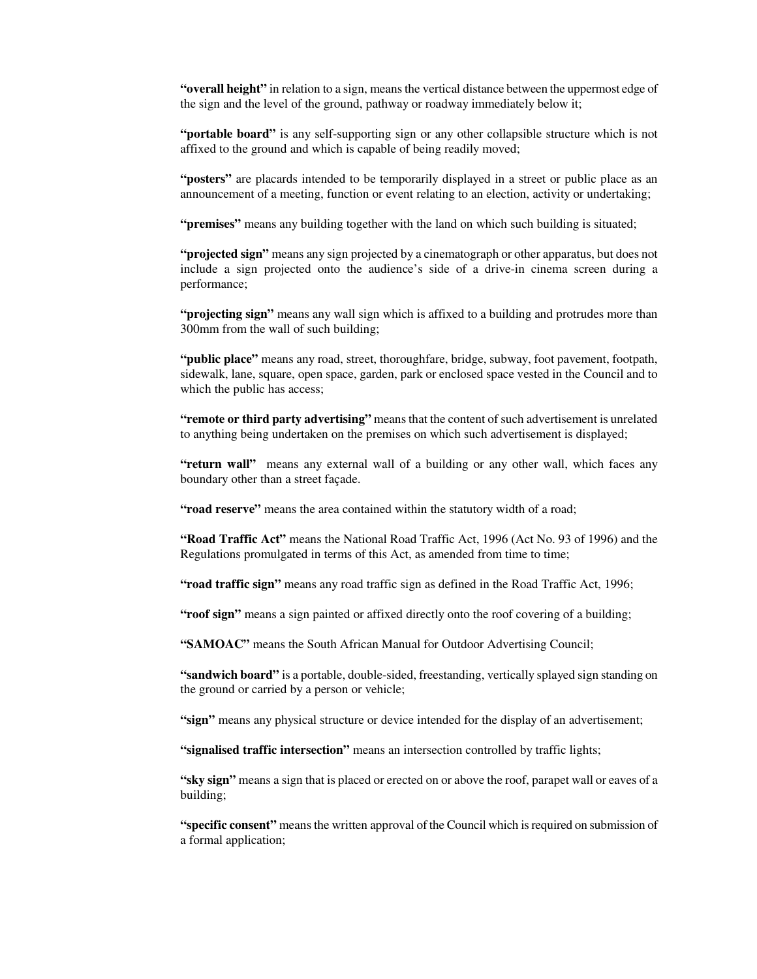**"overall height"** in relation to a sign, means the vertical distance between the uppermost edge of the sign and the level of the ground, pathway or roadway immediately below it;

**"portable board"** is any self-supporting sign or any other collapsible structure which is not affixed to the ground and which is capable of being readily moved;

**"posters"** are placards intended to be temporarily displayed in a street or public place as an announcement of a meeting, function or event relating to an election, activity or undertaking;

**"premises"** means any building together with the land on which such building is situated;

**"projected sign"** means any sign projected by a cinematograph or other apparatus, but does not include a sign projected onto the audience's side of a drive-in cinema screen during a performance;

**"projecting sign"** means any wall sign which is affixed to a building and protrudes more than 300mm from the wall of such building;

**"public place"** means any road, street, thoroughfare, bridge, subway, foot pavement, footpath, sidewalk, lane, square, open space, garden, park or enclosed space vested in the Council and to which the public has access;

**"remote or third party advertising"** means that the content ofsuch advertisement is unrelated to anything being undertaken on the premises on which such advertisement is displayed;

**"return wall"** means any external wall of a building or any other wall, which faces any boundary other than a street façade.

**"road reserve"** means the area contained within the statutory width of a road;

**"Road Traffic Act"** means the National Road Traffic Act, 1996 (Act No. 93 of 1996) and the Regulations promulgated in terms of this Act, as amended from time to time;

**"road traffic sign"** means any road traffic sign as defined in the Road Traffic Act, 1996;

**"roof sign"** means a sign painted or affixed directly onto the roof covering of a building;

**"SAMOAC"** means the South African Manual for Outdoor Advertising Council;

**"sandwich board"** is a portable, double-sided, freestanding, vertically splayed sign standing on the ground or carried by a person or vehicle;

**"sign"** means any physical structure or device intended for the display of an advertisement;

**"signalised traffic intersection"** means an intersection controlled by traffic lights;

**"sky sign"** means a sign that is placed or erected on or above the roof, parapet wall or eaves of a building;

**"specific consent"** means the written approval of the Council which is required on submission of a formal application;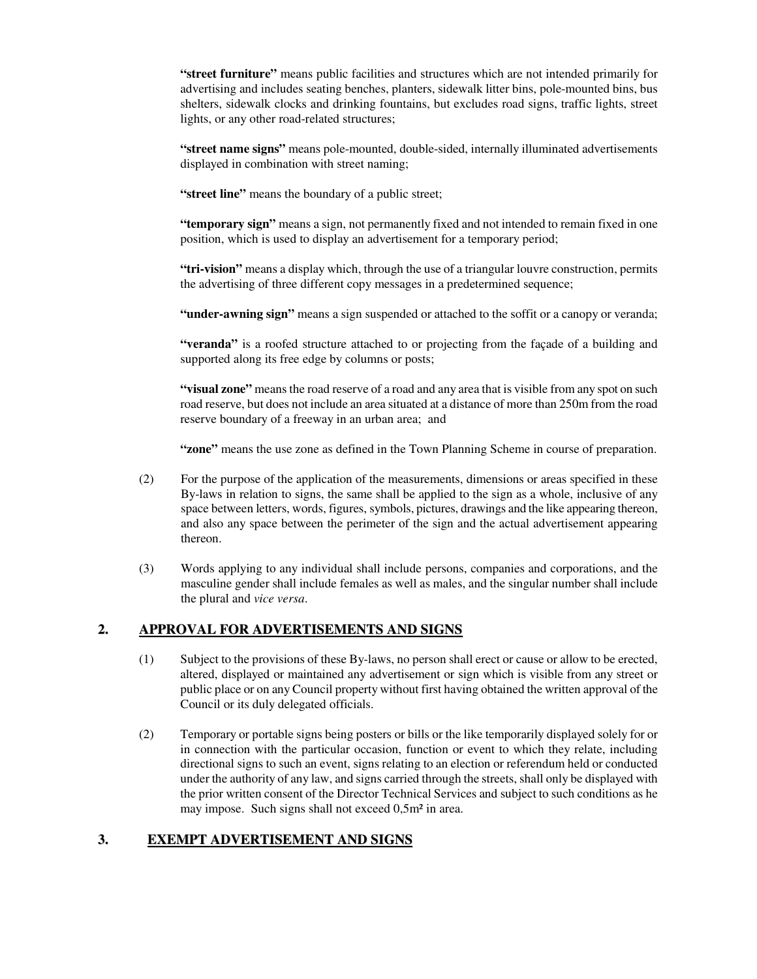**"street furniture"** means public facilities and structures which are not intended primarily for advertising and includes seating benches, planters, sidewalk litter bins, pole-mounted bins, bus shelters, sidewalk clocks and drinking fountains, but excludes road signs, traffic lights, street lights, or any other road-related structures;

**"street name signs"** means pole-mounted, double-sided, internally illuminated advertisements displayed in combination with street naming;

**"street line"** means the boundary of a public street;

**"temporary sign"** means a sign, not permanently fixed and not intended to remain fixed in one position, which is used to display an advertisement for a temporary period;

**"tri-vision"** means a display which, through the use of a triangular louvre construction, permits the advertising of three different copy messages in a predetermined sequence;

**"under-awning sign"** means a sign suspended or attached to the soffit or a canopy or veranda;

**"veranda"** is a roofed structure attached to or projecting from the façade of a building and supported along its free edge by columns or posts;

**"visual zone"** means the road reserve of a road and any area that is visible from any spot on such road reserve, but does not include an area situated at a distance of more than 250m from the road reserve boundary of a freeway in an urban area; and

**"zone"** means the use zone as defined in the Town Planning Scheme in course of preparation.

- (2) For the purpose of the application of the measurements, dimensions or areas specified in these By-laws in relation to signs, the same shall be applied to the sign as a whole, inclusive of any space between letters, words, figures, symbols, pictures, drawings and the like appearing thereon, and also any space between the perimeter of the sign and the actual advertisement appearing thereon.
- (3) Words applying to any individual shall include persons, companies and corporations, and the masculine gender shall include females as well as males, and the singular number shall include the plural and *vice versa*.

## **2. APPROVAL FOR ADVERTISEMENTS AND SIGNS**

- (1) Subject to the provisions of these By-laws, no person shall erect or cause or allow to be erected, altered, displayed or maintained any advertisement or sign which is visible from any street or public place or on anyCouncil property without first having obtained the written approval of the Council or its duly delegated officials.
- (2) Temporary or portable signs being posters or bills or the like temporarily displayed solely for or in connection with the particular occasion, function or event to which they relate, including directional signs to such an event, signs relating to an election or referendum held or conducted under the authority of any law, and signs carried through the streets, shall only be displayed with the prior written consent of the Director Technical Services and subject to such conditions as he may impose. Such signs shall not exceed 0,5m² in area.

## **3. EXEMPT ADVERTISEMENT AND SIGNS**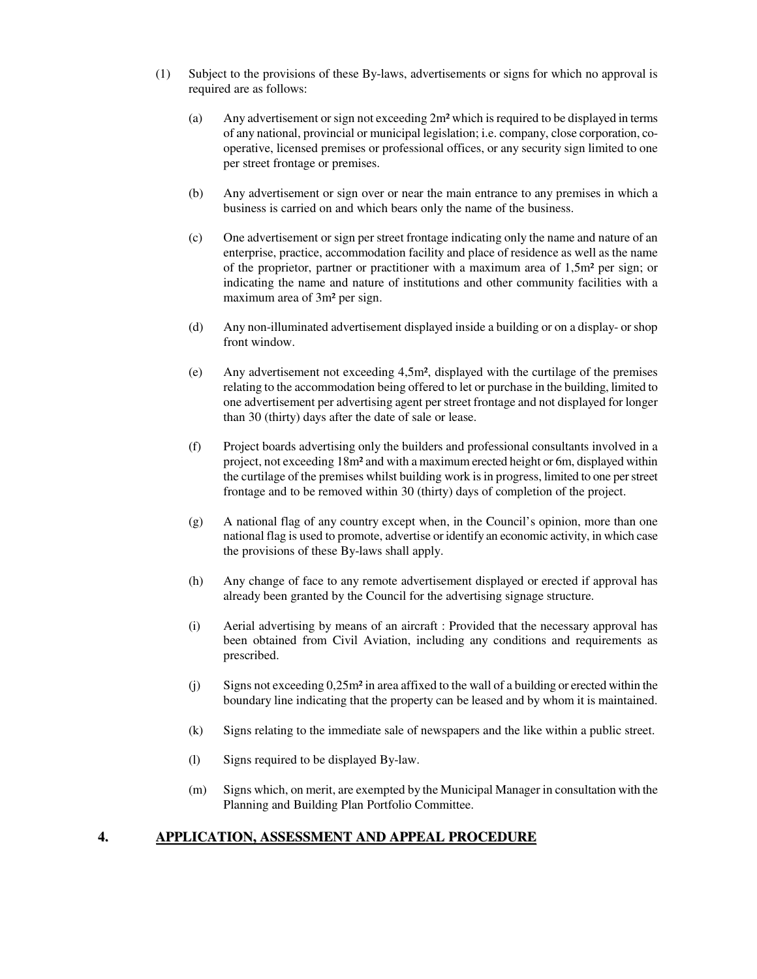- (1) Subject to the provisions of these By-laws, advertisements or signs for which no approval is required are as follows:
	- (a) Any advertisement orsign not exceeding 2m² which is required to be displayed in terms of any national, provincial or municipal legislation; i.e. company, close corporation, cooperative, licensed premises or professional offices, or any security sign limited to one per street frontage or premises.
	- (b) Any advertisement or sign over or near the main entrance to any premises in which a business is carried on and which bears only the name of the business.
	- (c) One advertisement or sign per street frontage indicating only the name and nature of an enterprise, practice, accommodation facility and place of residence as well as the name of the proprietor, partner or practitioner with a maximum area of 1,5m² per sign; or indicating the name and nature of institutions and other community facilities with a maximum area of 3m² per sign.
	- (d) Any non-illuminated advertisement displayed inside a building or on a display- orshop front window.
	- (e) Any advertisement not exceeding 4,5m², displayed with the curtilage of the premises relating to the accommodation being offered to let or purchase in the building, limited to one advertisement per advertising agent perstreet frontage and not displayed for longer than 30 (thirty) days after the date of sale or lease.
	- (f) Project boards advertising only the builders and professional consultants involved in a project, not exceeding 18m² and with a maximum erected height or 6m, displayed within the curtilage of the premises whilst building work is in progress, limited to one perstreet frontage and to be removed within 30 (thirty) days of completion of the project.
	- (g) A national flag of any country except when, in the Council's opinion, more than one national flag is used to promote, advertise or identify an economic activity, in which case the provisions of these By-laws shall apply.
	- (h) Any change of face to any remote advertisement displayed or erected if approval has already been granted by the Council for the advertising signage structure.
	- (i) Aerial advertising by means of an aircraft : Provided that the necessary approval has been obtained from Civil Aviation, including any conditions and requirements as prescribed.
	- (j) Signs not exceeding 0,25m² in area affixed to the wall of a building or erected within the boundary line indicating that the property can be leased and by whom it is maintained.
	- (k) Signs relating to the immediate sale of newspapers and the like within a public street.
	- (l) Signs required to be displayed By-law.
	- (m) Signs which, on merit, are exempted by the Municipal Manager in consultation with the Planning and Building Plan Portfolio Committee.

### **4. APPLICATION, ASSESSMENT AND APPEAL PROCEDURE**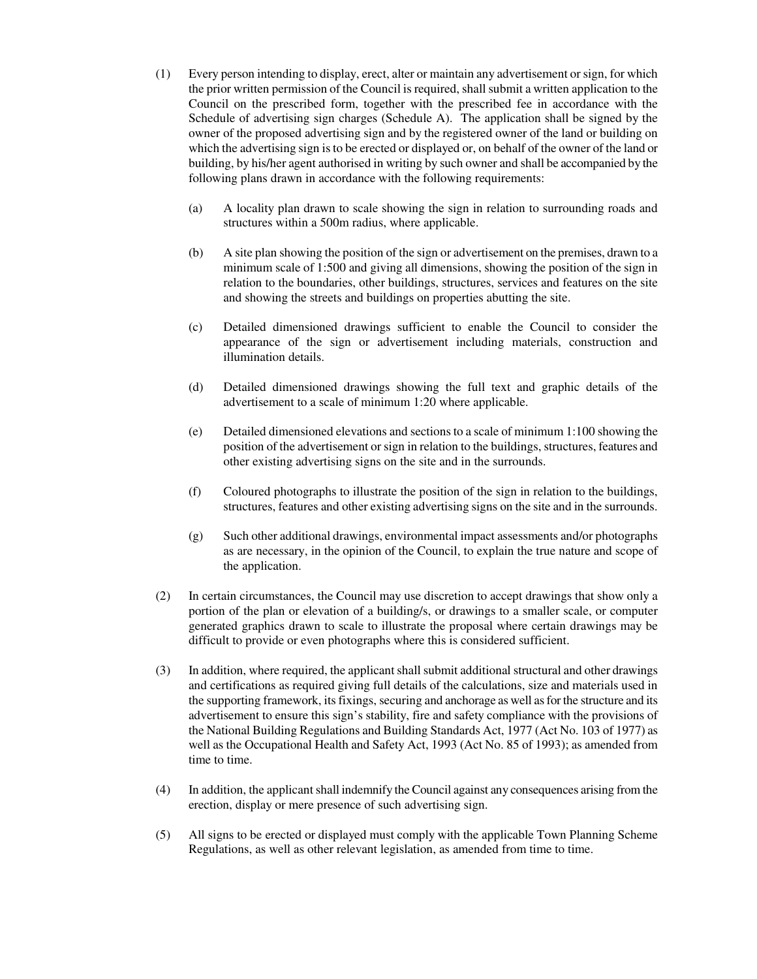- (1) Every person intending to display, erect, alter or maintain any advertisement orsign, for which the prior written permission of the Council is required, shall submit a written application to the Council on the prescribed form, together with the prescribed fee in accordance with the Schedule of advertising sign charges (Schedule A). The application shall be signed by the owner of the proposed advertising sign and by the registered owner of the land or building on which the advertising sign isto be erected or displayed or, on behalf of the owner of the land or building, by his/her agent authorised in writing by such owner and shall be accompanied by the following plans drawn in accordance with the following requirements:
	- (a) A locality plan drawn to scale showing the sign in relation to surrounding roads and structures within a 500m radius, where applicable.
	- (b) A site plan showing the position of the sign or advertisement on the premises, drawn to a minimum scale of 1:500 and giving all dimensions, showing the position of the sign in relation to the boundaries, other buildings, structures, services and features on the site and showing the streets and buildings on properties abutting the site.
	- (c) Detailed dimensioned drawings sufficient to enable the Council to consider the appearance of the sign or advertisement including materials, construction and illumination details.
	- (d) Detailed dimensioned drawings showing the full text and graphic details of the advertisement to a scale of minimum 1:20 where applicable.
	- (e) Detailed dimensioned elevations and sections to a scale of minimum 1:100 showing the position of the advertisement orsign in relation to the buildings, structures, features and other existing advertising signs on the site and in the surrounds.
	- (f) Coloured photographs to illustrate the position of the sign in relation to the buildings, structures, features and other existing advertising signs on the site and in the surrounds.
	- (g) Such other additional drawings, environmental impact assessments and/or photographs as are necessary, in the opinion of the Council, to explain the true nature and scope of the application.
- (2) In certain circumstances, the Council may use discretion to accept drawings that show only a portion of the plan or elevation of a building/s, or drawings to a smaller scale, or computer generated graphics drawn to scale to illustrate the proposal where certain drawings may be difficult to provide or even photographs where this is considered sufficient.
- (3) In addition, where required, the applicant shall submit additional structural and other drawings and certifications as required giving full details of the calculations, size and materials used in the supporting framework, its fixings, securing and anchorage as well asfor the structure and its advertisement to ensure this sign's stability, fire and safety compliance with the provisions of the National Building Regulations and Building Standards Act, 1977 (Act No. 103 of 1977) as well as the Occupational Health and Safety Act, 1993 (Act No. 85 of 1993); as amended from time to time.
- (4) In addition, the applicantshall indemnify the Council against any consequences arising from the erection, display or mere presence of such advertising sign.
- (5) All signs to be erected or displayed must comply with the applicable Town Planning Scheme Regulations, as well as other relevant legislation, as amended from time to time.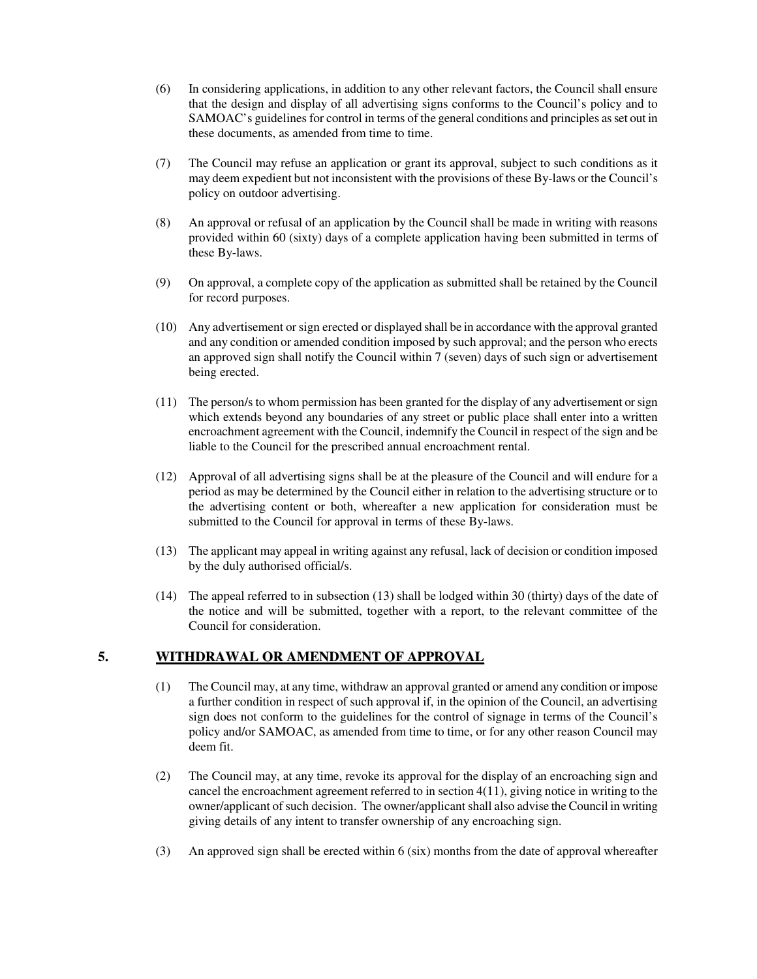- (6) In considering applications, in addition to any other relevant factors, the Council shall ensure that the design and display of all advertising signs conforms to the Council's policy and to SAMOAC's guidelines for control in terms of the general conditions and principles as set out in these documents, as amended from time to time.
- (7) The Council may refuse an application or grant its approval, subject to such conditions as it may deem expedient but not inconsistent with the provisions of these By-laws or the Council's policy on outdoor advertising.
- (8) An approval or refusal of an application by the Council shall be made in writing with reasons provided within 60 (sixty) days of a complete application having been submitted in terms of these By-laws.
- (9) On approval, a complete copy of the application as submitted shall be retained by the Council for record purposes.
- (10) Any advertisement orsign erected or displayed shall be in accordance with the approval granted and any condition or amended condition imposed by such approval; and the person who erects an approved sign shall notify the Council within 7 (seven) days of such sign or advertisement being erected.
- (11) The person/s to whom permission has been granted for the display of any advertisement orsign which extends beyond any boundaries of any street or public place shall enter into a written encroachment agreement with the Council, indemnify the Council in respect of the sign and be liable to the Council for the prescribed annual encroachment rental.
- (12) Approval of all advertising signs shall be at the pleasure of the Council and will endure for a period as may be determined by the Council either in relation to the advertising structure or to the advertising content or both, whereafter a new application for consideration must be submitted to the Council for approval in terms of these By-laws.
- (13) The applicant may appeal in writing against any refusal, lack of decision or condition imposed by the duly authorised official/s.
- (14) The appeal referred to in subsection (13) shall be lodged within 30 (thirty) days of the date of the notice and will be submitted, together with a report, to the relevant committee of the Council for consideration.

### **5. WITHDRAWAL OR AMENDMENT OF APPROVAL**

- (1) The Council may, at any time, withdraw an approval granted or amend any condition or impose a further condition in respect of such approval if, in the opinion of the Council, an advertising sign does not conform to the guidelines for the control of signage in terms of the Council's policy and/or SAMOAC, as amended from time to time, or for any other reason Council may deem fit.
- (2) The Council may, at any time, revoke its approval for the display of an encroaching sign and cancel the encroachment agreement referred to in section 4(11), giving notice in writing to the owner/applicant of such decision. The owner/applicant shall also advise the Council in writing giving details of any intent to transfer ownership of any encroaching sign.
- (3) An approved sign shall be erected within 6 (six) months from the date of approval whereafter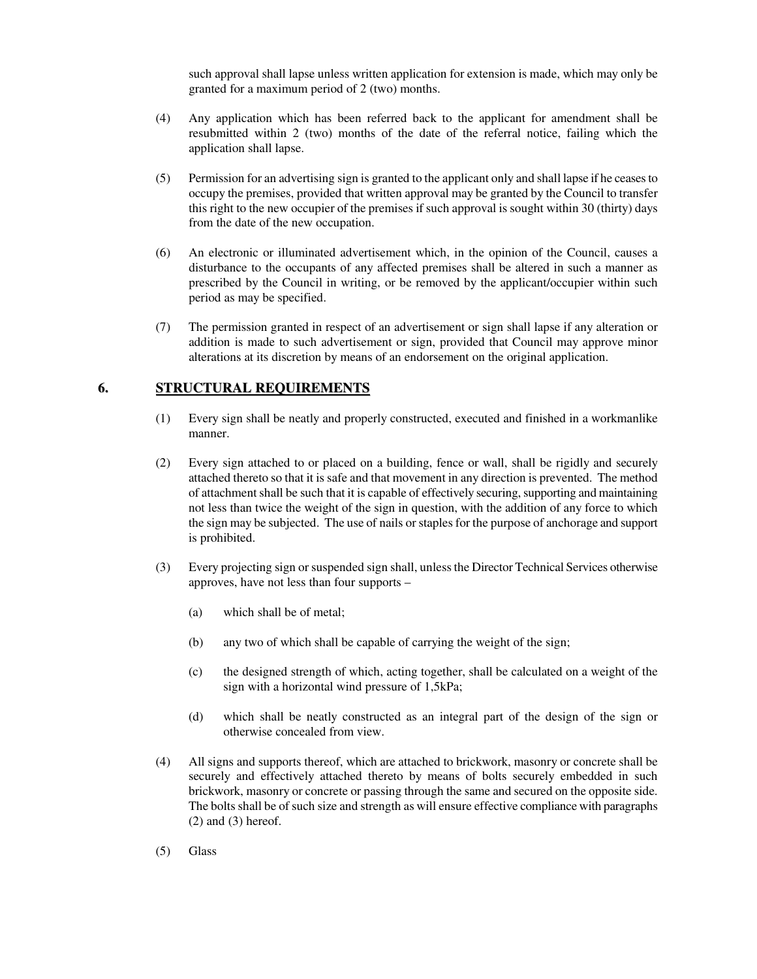such approval shall lapse unless written application for extension is made, which may only be granted for a maximum period of 2 (two) months.

- (4) Any application which has been referred back to the applicant for amendment shall be resubmitted within 2 (two) months of the date of the referral notice, failing which the application shall lapse.
- (5) Permission for an advertising sign is granted to the applicant only and shall lapse if he ceasesto occupy the premises, provided that written approval may be granted by the Council to transfer this right to the new occupier of the premises if such approval is sought within 30 (thirty) days from the date of the new occupation.
- (6) An electronic or illuminated advertisement which, in the opinion of the Council, causes a disturbance to the occupants of any affected premises shall be altered in such a manner as prescribed by the Council in writing, or be removed by the applicant/occupier within such period as may be specified.
- (7) The permission granted in respect of an advertisement or sign shall lapse if any alteration or addition is made to such advertisement or sign, provided that Council may approve minor alterations at its discretion by means of an endorsement on the original application.

### **6. STRUCTURAL REQUIREMENTS**

- (1) Every sign shall be neatly and properly constructed, executed and finished in a workmanlike manner.
- (2) Every sign attached to or placed on a building, fence or wall, shall be rigidly and securely attached thereto so that it is safe and that movement in any direction is prevented. The method of attachment shall be such that it is capable of effectively securing, supporting and maintaining not less than twice the weight of the sign in question, with the addition of any force to which the sign may be subjected. The use of nails orstaples for the purpose of anchorage and support is prohibited.
- (3) Every projecting sign orsuspended sign shall, unlessthe Director Technical Services otherwise approves, have not less than four supports –
	- (a) which shall be of metal;
	- (b) any two of which shall be capable of carrying the weight of the sign;
	- (c) the designed strength of which, acting together, shall be calculated on a weight of the sign with a horizontal wind pressure of 1,5kPa;
	- (d) which shall be neatly constructed as an integral part of the design of the sign or otherwise concealed from view.
- (4) All signs and supports thereof, which are attached to brickwork, masonry or concrete shall be securely and effectively attached thereto by means of bolts securely embedded in such brickwork, masonry or concrete or passing through the same and secured on the opposite side. The bolts shall be of such size and strength as will ensure effective compliance with paragraphs  $(2)$  and  $(3)$  hereof.
- (5) Glass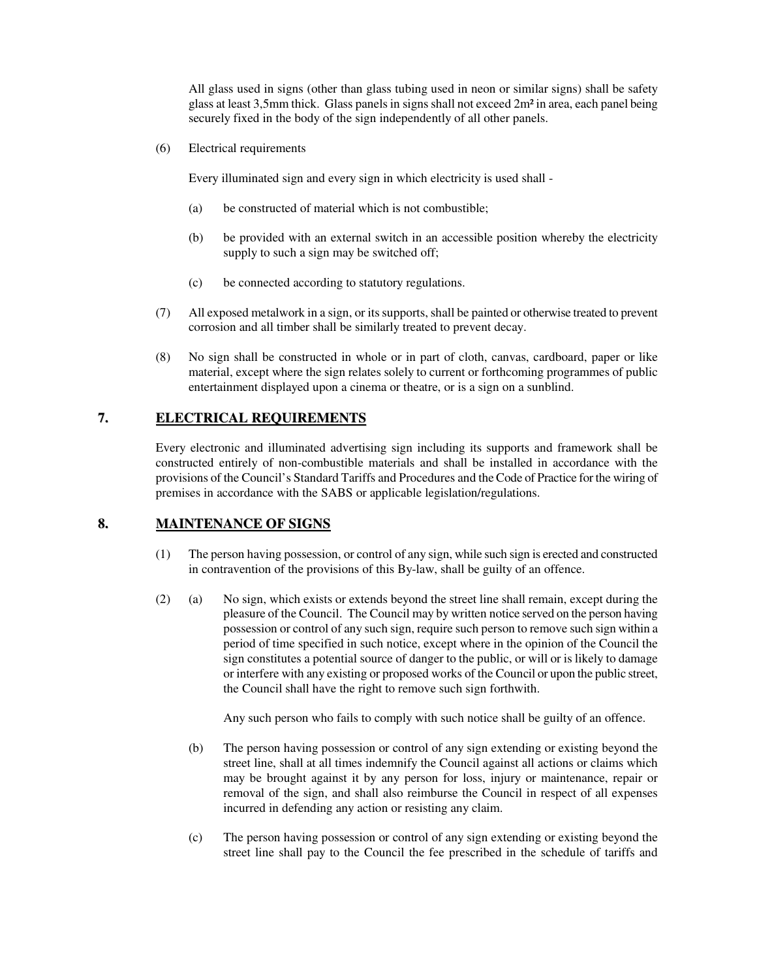All glass used in signs (other than glass tubing used in neon or similar signs) shall be safety glass at least 3,5mm thick. Glass panels in signs shall not exceed 2m² in area, each panel being securely fixed in the body of the sign independently of all other panels.

(6) Electrical requirements

Every illuminated sign and every sign in which electricity is used shall -

- (a) be constructed of material which is not combustible;
- (b) be provided with an external switch in an accessible position whereby the electricity supply to such a sign may be switched off;
- (c) be connected according to statutory regulations.
- (7) All exposed metalwork in a sign, or itssupports,shall be painted or otherwise treated to prevent corrosion and all timber shall be similarly treated to prevent decay.
- (8) No sign shall be constructed in whole or in part of cloth, canvas, cardboard, paper or like material, except where the sign relates solely to current or forthcoming programmes of public entertainment displayed upon a cinema or theatre, or is a sign on a sunblind.

## **7. ELECTRICAL REQUIREMENTS**

Every electronic and illuminated advertising sign including its supports and framework shall be constructed entirely of non-combustible materials and shall be installed in accordance with the provisions of the Council's Standard Tariffs and Procedures and theCode of Practice for the wiring of premises in accordance with the SABS or applicable legislation/regulations.

## **8. MAINTENANCE OF SIGNS**

- (1) The person having possession, or control of any sign, while such sign is erected and constructed in contravention of the provisions of this By-law, shall be guilty of an offence.
- (2) (a) No sign, which exists or extends beyond the street line shall remain, except during the pleasure of the Council. The Council may by written notice served on the person having possession or control of any such sign, require such person to remove such sign within a period of time specified in such notice, except where in the opinion of the Council the sign constitutes a potential source of danger to the public, or will or is likely to damage or interfere with any existing or proposed works of the Council or upon the public street, the Council shall have the right to remove such sign forthwith.

Any such person who fails to comply with such notice shall be guilty of an offence.

- (b) The person having possession or control of any sign extending or existing beyond the street line, shall at all times indemnify the Council against all actions or claims which may be brought against it by any person for loss, injury or maintenance, repair or removal of the sign, and shall also reimburse the Council in respect of all expenses incurred in defending any action or resisting any claim.
- (c) The person having possession or control of any sign extending or existing beyond the street line shall pay to the Council the fee prescribed in the schedule of tariffs and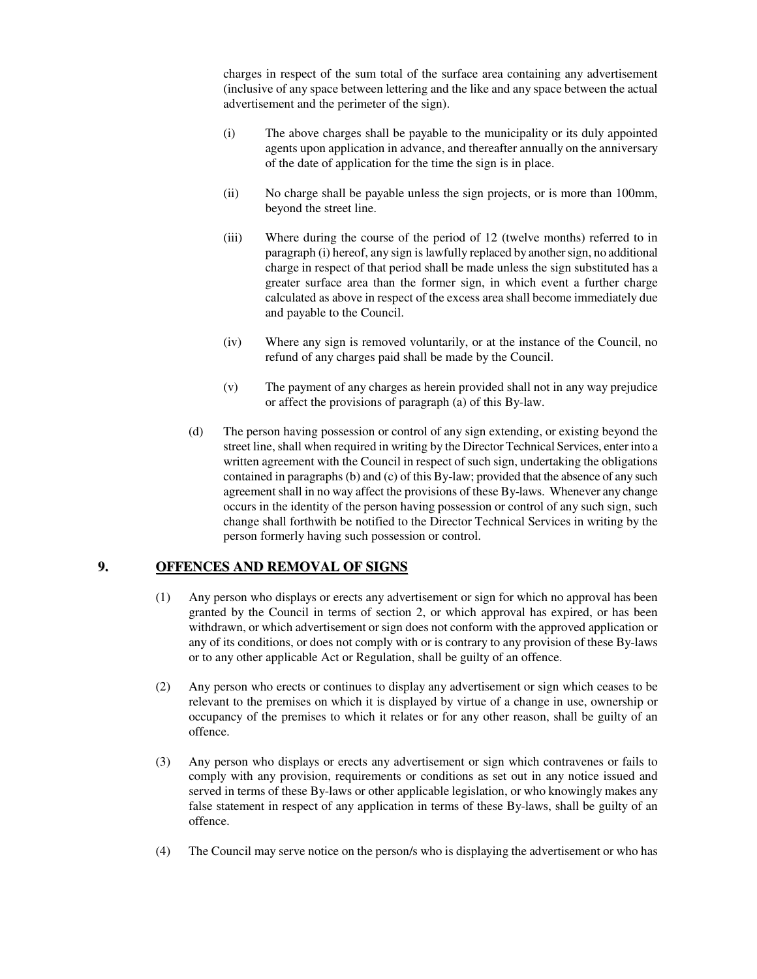charges in respect of the sum total of the surface area containing any advertisement (inclusive of any space between lettering and the like and any space between the actual advertisement and the perimeter of the sign).

- (i) The above charges shall be payable to the municipality or its duly appointed agents upon application in advance, and thereafter annually on the anniversary of the date of application for the time the sign is in place.
- (ii) No charge shall be payable unless the sign projects, or is more than 100mm, beyond the street line.
- (iii) Where during the course of the period of 12 (twelve months) referred to in paragraph (i) hereof, any sign is lawfully replaced by anothersign, no additional charge in respect of that period shall be made unless the sign substituted has a greater surface area than the former sign, in which event a further charge calculated as above in respect of the excess area shall become immediately due and payable to the Council.
- (iv) Where any sign is removed voluntarily, or at the instance of the Council, no refund of any charges paid shall be made by the Council.
- (v) The payment of any charges as herein provided shall not in any way prejudice or affect the provisions of paragraph (a) of this By-law.
- (d) The person having possession or control of any sign extending, or existing beyond the street line, shall when required in writing by the Director Technical Services, enter into a written agreement with the Council in respect of such sign, undertaking the obligations contained in paragraphs (b) and (c) of this By-law; provided that the absence of any such agreement shall in no way affect the provisions of these By-laws. Whenever any change occurs in the identity of the person having possession or control of any such sign, such change shall forthwith be notified to the Director Technical Services in writing by the person formerly having such possession or control.

### **9. OFFENCES AND REMOVAL OF SIGNS**

- (1) Any person who displays or erects any advertisement or sign for which no approval has been granted by the Council in terms of section 2, or which approval has expired, or has been withdrawn, or which advertisement or sign does not conform with the approved application or any of its conditions, or does not comply with or is contrary to any provision of these By-laws or to any other applicable Act or Regulation, shall be guilty of an offence.
- (2) Any person who erects or continues to display any advertisement or sign which ceases to be relevant to the premises on which it is displayed by virtue of a change in use, ownership or occupancy of the premises to which it relates or for any other reason, shall be guilty of an offence.
- (3) Any person who displays or erects any advertisement or sign which contravenes or fails to comply with any provision, requirements or conditions as set out in any notice issued and served in terms of these By-laws or other applicable legislation, or who knowingly makes any false statement in respect of any application in terms of these By-laws, shall be guilty of an offence.
- (4) The Council may serve notice on the person/s who is displaying the advertisement or who has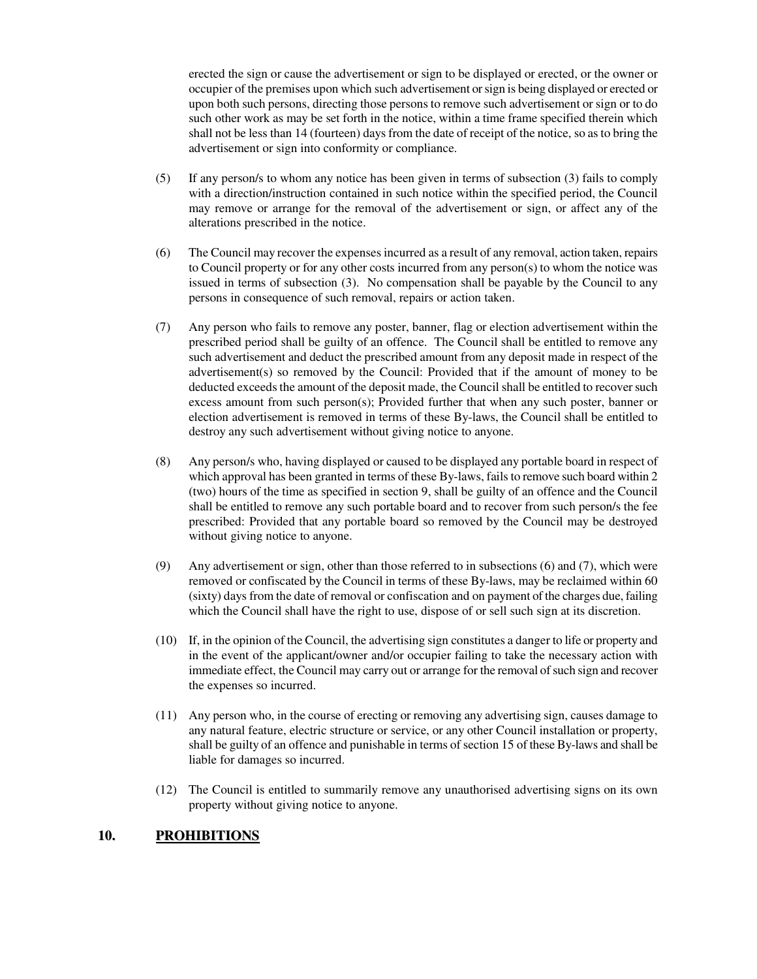erected the sign or cause the advertisement or sign to be displayed or erected, or the owner or occupier of the premises upon which such advertisement orsign is being displayed or erected or upon both such persons, directing those persons to remove such advertisement or sign or to do such other work as may be set forth in the notice, within a time frame specified therein which shall not be less than 14 (fourteen) days from the date of receipt of the notice, so as to bring the advertisement or sign into conformity or compliance.

- (5) If any person/s to whom any notice has been given in terms of subsection (3) fails to comply with a direction/instruction contained in such notice within the specified period, the Council may remove or arrange for the removal of the advertisement or sign, or affect any of the alterations prescribed in the notice.
- (6) The Council may recover the expenses incurred as a result of any removal, action taken, repairs to Council property or for any other costs incurred from any person(s) to whom the notice was issued in terms of subsection (3). No compensation shall be payable by the Council to any persons in consequence of such removal, repairs or action taken.
- (7) Any person who fails to remove any poster, banner, flag or election advertisement within the prescribed period shall be guilty of an offence. The Council shall be entitled to remove any such advertisement and deduct the prescribed amount from any deposit made in respect of the advertisement(s) so removed by the Council: Provided that if the amount of money to be deducted exceeds the amount of the deposit made, the Council shall be entitled to recover such excess amount from such person(s); Provided further that when any such poster, banner or election advertisement is removed in terms of these By-laws, the Council shall be entitled to destroy any such advertisement without giving notice to anyone.
- (8) Any person/s who, having displayed or caused to be displayed any portable board in respect of which approval has been granted in terms of these By-laws, fails to remove such board within 2 (two) hours of the time as specified in section 9, shall be guilty of an offence and the Council shall be entitled to remove any such portable board and to recover from such person/s the fee prescribed: Provided that any portable board so removed by the Council may be destroyed without giving notice to anyone.
- (9) Any advertisement or sign, other than those referred to in subsections (6) and (7), which were removed or confiscated by the Council in terms of these By-laws, may be reclaimed within 60 (sixty) days from the date of removal or confiscation and on payment of the charges due, failing which the Council shall have the right to use, dispose of or sell such sign at its discretion.
- (10) If, in the opinion of the Council, the advertising sign constitutes a danger to life or property and in the event of the applicant/owner and/or occupier failing to take the necessary action with immediate effect, the Council may carry out or arrange for the removal of such sign and recover the expenses so incurred.
- (11) Any person who, in the course of erecting or removing any advertising sign, causes damage to any natural feature, electric structure or service, or any other Council installation or property, shall be guilty of an offence and punishable in terms of section 15 of these By-laws and shall be liable for damages so incurred.
- (12) The Council is entitled to summarily remove any unauthorised advertising signs on its own property without giving notice to anyone.

### **10. PROHIBITIONS**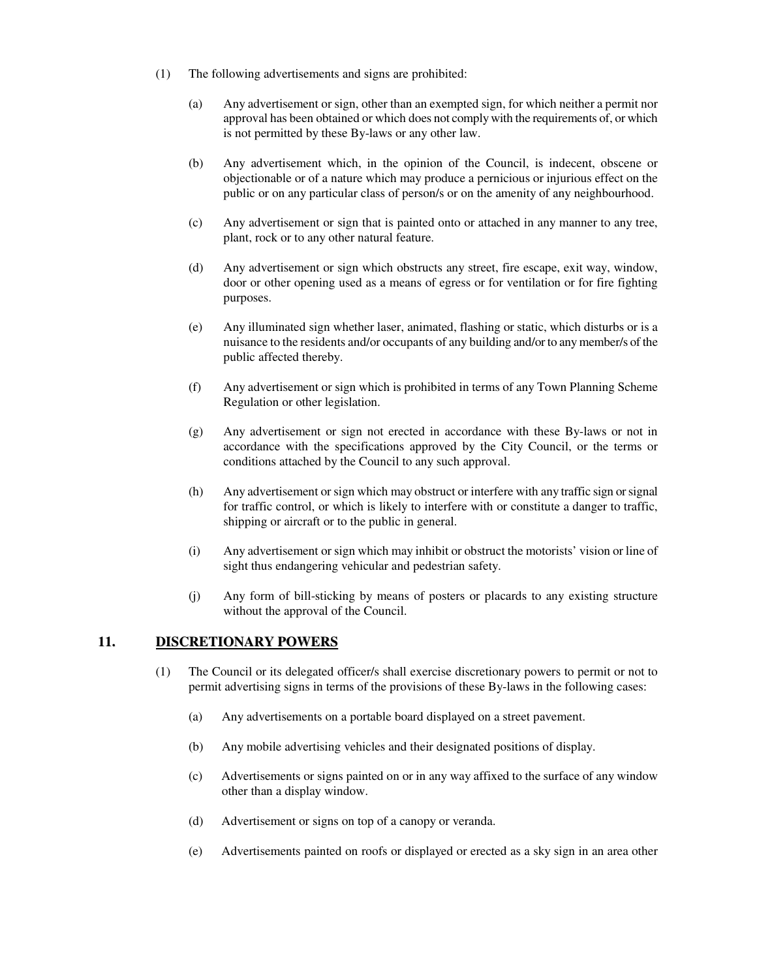- (1) The following advertisements and signs are prohibited:
	- (a) Any advertisement or sign, other than an exempted sign, for which neither a permit nor approval has been obtained or which does not comply with the requirements of, or which is not permitted by these By-laws or any other law.
	- (b) Any advertisement which, in the opinion of the Council, is indecent, obscene or objectionable or of a nature which may produce a pernicious or injurious effect on the public or on any particular class of person/s or on the amenity of any neighbourhood.
	- (c) Any advertisement or sign that is painted onto or attached in any manner to any tree, plant, rock or to any other natural feature.
	- (d) Any advertisement or sign which obstructs any street, fire escape, exit way, window, door or other opening used as a means of egress or for ventilation or for fire fighting purposes.
	- (e) Any illuminated sign whether laser, animated, flashing or static, which disturbs or is a nuisance to the residents and/or occupants of any building and/or to anymember/s of the public affected thereby.
	- (f) Any advertisement or sign which is prohibited in terms of any Town Planning Scheme Regulation or other legislation.
	- (g) Any advertisement or sign not erected in accordance with these By-laws or not in accordance with the specifications approved by the City Council, or the terms or conditions attached by the Council to any such approval.
	- (h) Any advertisement orsign which may obstruct or interfere with any traffic sign orsignal for traffic control, or which is likely to interfere with or constitute a danger to traffic, shipping or aircraft or to the public in general.
	- (i) Any advertisement or sign which may inhibit or obstruct the motorists' vision or line of sight thus endangering vehicular and pedestrian safety.
	- (j) Any form of bill-sticking by means of posters or placards to any existing structure without the approval of the Council.

### **11. DISCRETIONARY POWERS**

- (1) The Council or its delegated officer/s shall exercise discretionary powers to permit or not to permit advertising signs in terms of the provisions of these By-laws in the following cases:
	- (a) Any advertisements on a portable board displayed on a street pavement.
	- (b) Any mobile advertising vehicles and their designated positions of display.
	- (c) Advertisements or signs painted on or in any way affixed to the surface of any window other than a display window.
	- (d) Advertisement or signs on top of a canopy or veranda.
	- (e) Advertisements painted on roofs or displayed or erected as a sky sign in an area other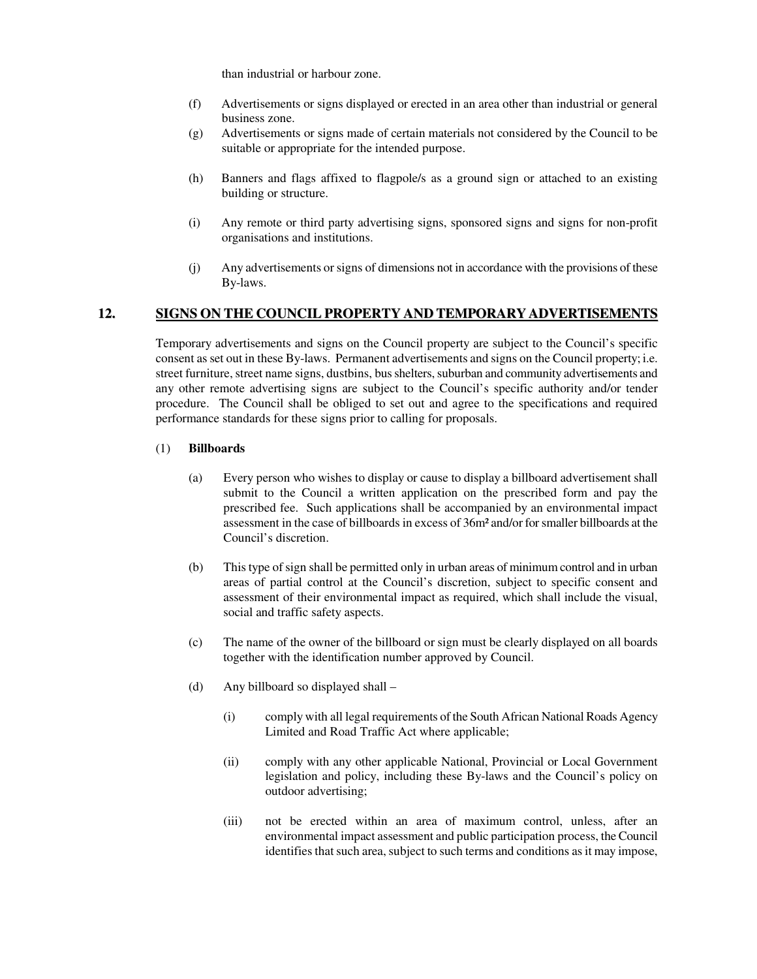than industrial or harbour zone.

- (f) Advertisements or signs displayed or erected in an area other than industrial or general business zone.
- (g) Advertisements or signs made of certain materials not considered by the Council to be suitable or appropriate for the intended purpose.
- (h) Banners and flags affixed to flagpole/s as a ground sign or attached to an existing building or structure.
- (i) Any remote or third party advertising signs, sponsored signs and signs for non-profit organisations and institutions.
- (j) Any advertisements orsigns of dimensions not in accordance with the provisions of these By-laws.

### **12. SIGNS ON THE COUNCIL PROPERTY AND TEMPORARY ADVERTISEMENTS**

Temporary advertisements and signs on the Council property are subject to the Council's specific consent as set out in these By-laws. Permanent advertisements and signs on the Council property; i.e. street furniture, street name signs, dustbins, bus shelters, suburban and community advertisements and any other remote advertising signs are subject to the Council's specific authority and/or tender procedure. The Council shall be obliged to set out and agree to the specifications and required performance standards for these signs prior to calling for proposals.

### (1) **Billboards**

- (a) Every person who wishes to display or cause to display a billboard advertisement shall submit to the Council a written application on the prescribed form and pay the prescribed fee. Such applications shall be accompanied by an environmental impact assessment in the case of billboards in excess of 36m² and/or forsmaller billboards at the Council's discretion.
- (b) This type of sign shall be permitted only in urban areas of minimum control and in urban areas of partial control at the Council's discretion, subject to specific consent and assessment of their environmental impact as required, which shall include the visual, social and traffic safety aspects.
- (c) The name of the owner of the billboard or sign must be clearly displayed on all boards together with the identification number approved by Council.
- (d) Any billboard so displayed shall
	- (i) comply with all legal requirements of the South African National Roads Agency Limited and Road Traffic Act where applicable;
	- (ii) comply with any other applicable National, Provincial or Local Government legislation and policy, including these By-laws and the Council's policy on outdoor advertising;
	- (iii) not be erected within an area of maximum control, unless, after an environmental impact assessment and public participation process, the Council identifies that such area, subject to such terms and conditions as it may impose,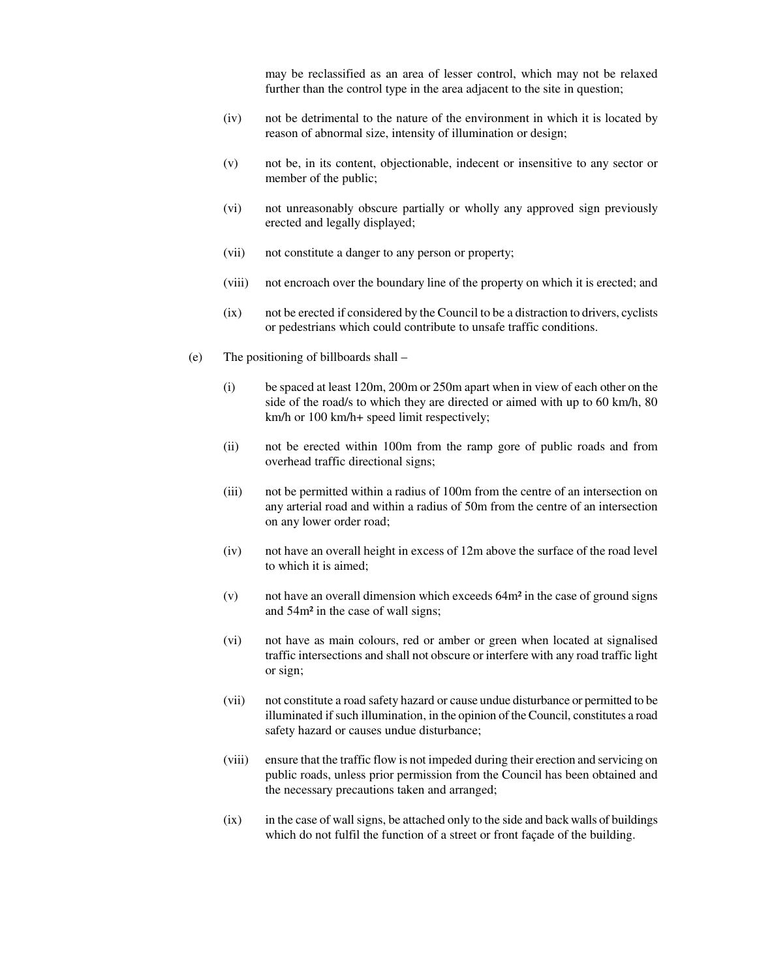may be reclassified as an area of lesser control, which may not be relaxed further than the control type in the area adjacent to the site in question;

- (iv) not be detrimental to the nature of the environment in which it is located by reason of abnormal size, intensity of illumination or design;
- (v) not be, in its content, objectionable, indecent or insensitive to any sector or member of the public;
- (vi) not unreasonably obscure partially or wholly any approved sign previously erected and legally displayed;
- (vii) not constitute a danger to any person or property;
- (viii) not encroach over the boundary line of the property on which it is erected; and
- (ix) not be erected if considered by the Council to be a distraction to drivers, cyclists or pedestrians which could contribute to unsafe traffic conditions.
- (e) The positioning of billboards shall
	- (i) be spaced at least 120m, 200m or 250m apart when in view of each other on the side of the road/s to which they are directed or aimed with up to 60 km/h, 80 km/h or 100 km/h+ speed limit respectively;
	- (ii) not be erected within 100m from the ramp gore of public roads and from overhead traffic directional signs;
	- (iii) not be permitted within a radius of 100m from the centre of an intersection on any arterial road and within a radius of 50m from the centre of an intersection on any lower order road;
	- (iv) not have an overall height in excess of 12m above the surface of the road level to which it is aimed;
	- (v) not have an overall dimension which exceeds 64m² in the case of ground signs and 54m² in the case of wall signs;
	- (vi) not have as main colours, red or amber or green when located at signalised traffic intersections and shall not obscure or interfere with any road traffic light or sign;
	- (vii) not constitute a road safety hazard or cause undue disturbance or permitted to be illuminated if such illumination, in the opinion of the Council, constitutes a road safety hazard or causes undue disturbance;
	- (viii) ensure that the traffic flow is not impeded during their erection and servicing on public roads, unless prior permission from the Council has been obtained and the necessary precautions taken and arranged;
	- $(ix)$  in the case of wall signs, be attached only to the side and back walls of buildings which do not fulfil the function of a street or front façade of the building.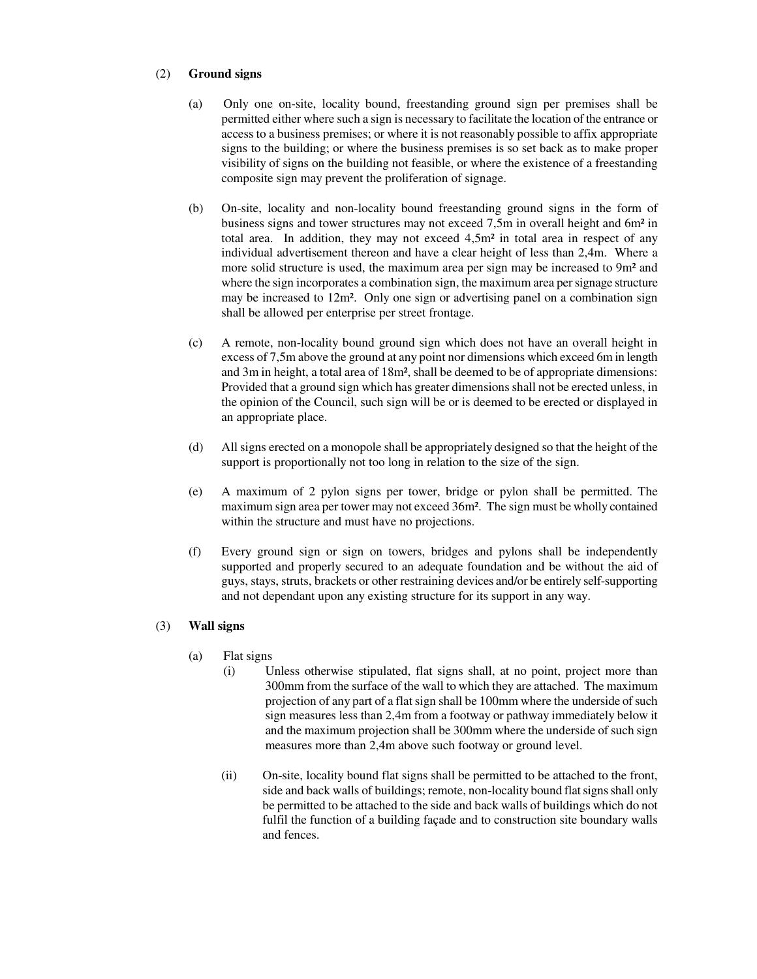### (2) **Ground signs**

- (a) Only one on-site, locality bound, freestanding ground sign per premises shall be permitted either where such a sign is necessary to facilitate the location of the entrance or access to a business premises; or where it is not reasonably possible to affix appropriate signs to the building; or where the business premises is so set back as to make proper visibility of signs on the building not feasible, or where the existence of a freestanding composite sign may prevent the proliferation of signage.
- (b) On-site, locality and non-locality bound freestanding ground signs in the form of business signs and tower structures may not exceed 7,5m in overall height and 6m² in total area. In addition, they may not exceed  $4.5m<sup>2</sup>$  in total area in respect of any individual advertisement thereon and have a clear height of less than 2,4m. Where a more solid structure is used, the maximum area per sign may be increased to 9m<sup>2</sup> and where the sign incorporates a combination sign, the maximum area persignage structure may be increased to 12m². Only one sign or advertising panel on a combination sign shall be allowed per enterprise per street frontage.
- (c) A remote, non-locality bound ground sign which does not have an overall height in excess of 7,5m above the ground at any point nor dimensions which exceed 6m in length and 3m in height, a total area of 18m², shall be deemed to be of appropriate dimensions: Provided that a ground sign which has greater dimensionsshall not be erected unless, in the opinion of the Council, such sign will be or is deemed to be erected or displayed in an appropriate place.
- (d) All signs erected on a monopole shall be appropriately designed so that the height of the support is proportionally not too long in relation to the size of the sign.
- (e) A maximum of 2 pylon signs per tower, bridge or pylon shall be permitted. The maximum sign area per tower may not exceed 36m². The sign must be wholly contained within the structure and must have no projections.
- (f) Every ground sign or sign on towers, bridges and pylons shall be independently supported and properly secured to an adequate foundation and be without the aid of guys, stays, struts, brackets or other restraining devices and/or be entirely self-supporting and not dependant upon any existing structure for its support in any way.

### (3) **Wall signs**

- (a) Flat signs
	- (i) Unless otherwise stipulated, flat signs shall, at no point, project more than 300mm from the surface of the wall to which they are attached. The maximum projection of any part of a flat sign shall be 100mm where the underside of such sign measures less than 2,4m from a footway or pathway immediately below it and the maximum projection shall be 300mm where the underside of such sign measures more than 2,4m above such footway or ground level.
	- (ii) On-site, locality bound flat signs shall be permitted to be attached to the front, side and back walls of buildings; remote, non-locality bound flat signs shall only be permitted to be attached to the side and back walls of buildings which do not fulfil the function of a building façade and to construction site boundary walls and fences.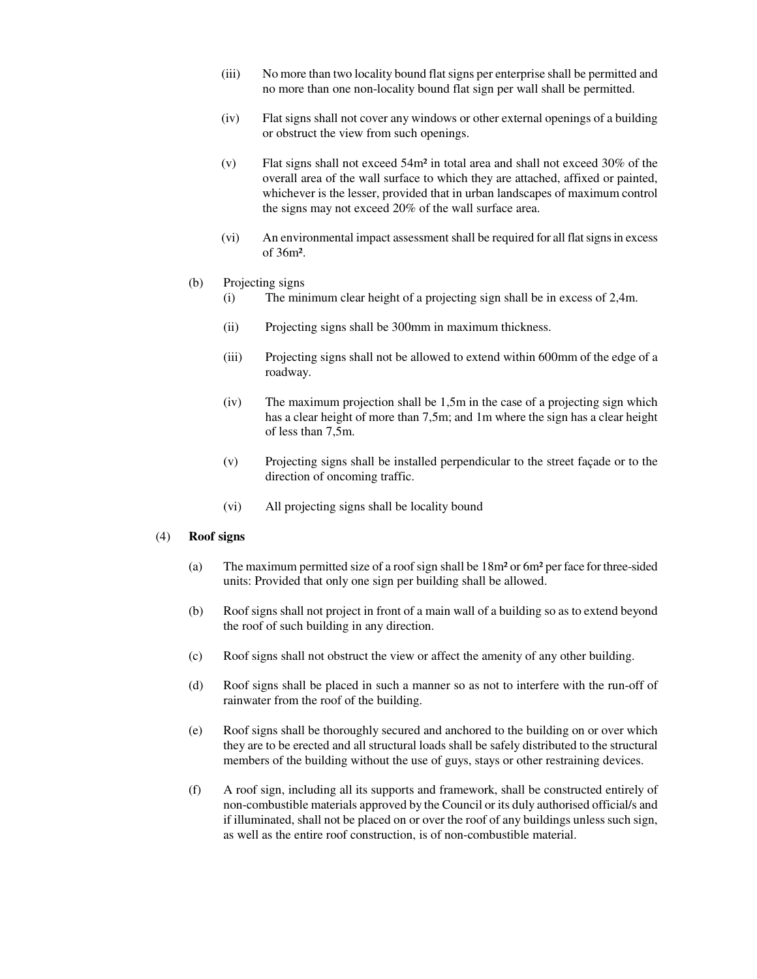- (iii) No more than two locality bound flatsigns per enterprise shall be permitted and no more than one non-locality bound flat sign per wall shall be permitted.
- (iv) Flat signs shall not cover any windows or other external openings of a building or obstruct the view from such openings.
- (v) Flat signs shall not exceed 54m² in total area and shall not exceed 30% of the overall area of the wall surface to which they are attached, affixed or painted, whichever is the lesser, provided that in urban landscapes of maximum control the signs may not exceed 20% of the wall surface area.
- (vi) An environmental impact assessment shall be required for all flatsignsin excess of 36m².

#### (b) Projecting signs

- (i) The minimum clear height of a projecting sign shall be in excess of 2,4m.
- (ii) Projecting signs shall be 300mm in maximum thickness.
- (iii) Projecting signs shall not be allowed to extend within 600mm of the edge of a roadway.
- (iv) The maximum projection shall be 1,5m in the case of a projecting sign which has a clear height of more than 7,5m; and 1m where the sign has a clear height of less than 7,5m.
- (v) Projecting signs shall be installed perpendicular to the street façade or to the direction of oncoming traffic.
- (vi) All projecting signs shall be locality bound

#### (4) **Roof signs**

- (a) The maximum permitted size of a roof sign shall be  $18m<sup>2</sup>$  or 6m<sup>2</sup> per face for three-sided units: Provided that only one sign per building shall be allowed.
- (b) Roof signs shall not project in front of a main wall of a building so as to extend beyond the roof of such building in any direction.
- (c) Roof signs shall not obstruct the view or affect the amenity of any other building.
- (d) Roof signs shall be placed in such a manner so as not to interfere with the run-off of rainwater from the roof of the building.
- (e) Roof signs shall be thoroughly secured and anchored to the building on or over which they are to be erected and all structural loads shall be safely distributed to the structural members of the building without the use of guys, stays or other restraining devices.
- (f) A roof sign, including all its supports and framework, shall be constructed entirely of non-combustible materials approved by the Council or its duly authorised official/s and if illuminated, shall not be placed on or over the roof of any buildings unless such sign, as well as the entire roof construction, is of non-combustible material.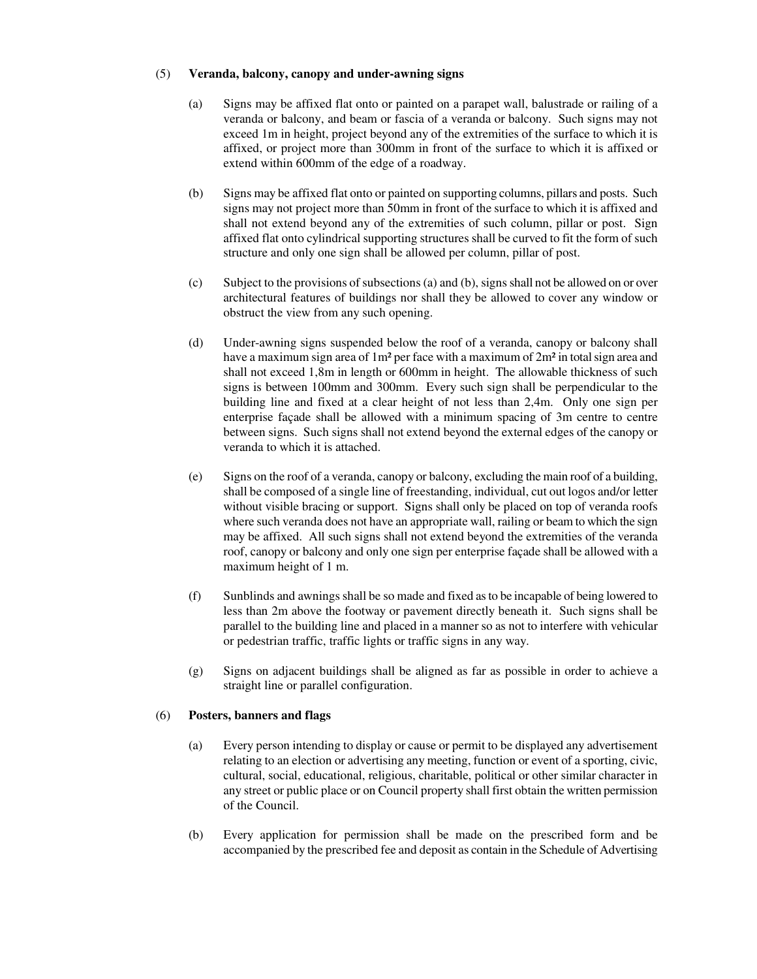#### (5) **Veranda, balcony, canopy and under-awning signs**

- (a) Signs may be affixed flat onto or painted on a parapet wall, balustrade or railing of a veranda or balcony, and beam or fascia of a veranda or balcony. Such signs may not exceed 1m in height, project beyond any of the extremities of the surface to which it is affixed, or project more than 300mm in front of the surface to which it is affixed or extend within 600mm of the edge of a roadway.
- (b) Signs may be affixed flat onto or painted on supporting columns, pillars and posts. Such signs may not project more than 50mm in front of the surface to which it is affixed and shall not extend beyond any of the extremities of such column, pillar or post. Sign affixed flat onto cylindrical supporting structures shall be curved to fit the form of such structure and only one sign shall be allowed per column, pillar of post.
- $(c)$  Subject to the provisions of subsections (a) and (b), signs shall not be allowed on or over architectural features of buildings nor shall they be allowed to cover any window or obstruct the view from any such opening.
- (d) Under-awning signs suspended below the roof of a veranda, canopy or balcony shall have a maximum sign area of 1m<sup>2</sup> per face with a maximum of 2m<sup>2</sup> in total sign area and shall not exceed 1,8m in length or 600mm in height. The allowable thickness of such signs is between 100mm and 300mm. Every such sign shall be perpendicular to the building line and fixed at a clear height of not less than 2,4m. Only one sign per enterprise façade shall be allowed with a minimum spacing of 3m centre to centre between signs. Such signs shall not extend beyond the external edges of the canopy or veranda to which it is attached.
- (e) Signs on the roof of a veranda, canopy or balcony, excluding the main roof of a building, shall be composed of a single line of freestanding, individual, cut out logos and/or letter without visible bracing or support. Signs shall only be placed on top of veranda roofs where such veranda does not have an appropriate wall, railing or beam to which the sign may be affixed. All such signs shall not extend beyond the extremities of the veranda roof, canopy or balcony and only one sign per enterprise façade shall be allowed with a maximum height of 1 m.
- (f) Sunblinds and awningsshall be so made and fixed asto be incapable of being lowered to less than 2m above the footway or pavement directly beneath it. Such signs shall be parallel to the building line and placed in a manner so as not to interfere with vehicular or pedestrian traffic, traffic lights or traffic signs in any way.
- (g) Signs on adjacent buildings shall be aligned as far as possible in order to achieve a straight line or parallel configuration.

#### (6) **Posters, banners and flags**

- (a) Every person intending to display or cause or permit to be displayed any advertisement relating to an election or advertising any meeting, function or event of a sporting, civic, cultural, social, educational, religious, charitable, political or other similar character in any street or public place or on Council property shall first obtain the written permission of the Council.
- (b) Every application for permission shall be made on the prescribed form and be accompanied by the prescribed fee and deposit as contain in the Schedule of Advertising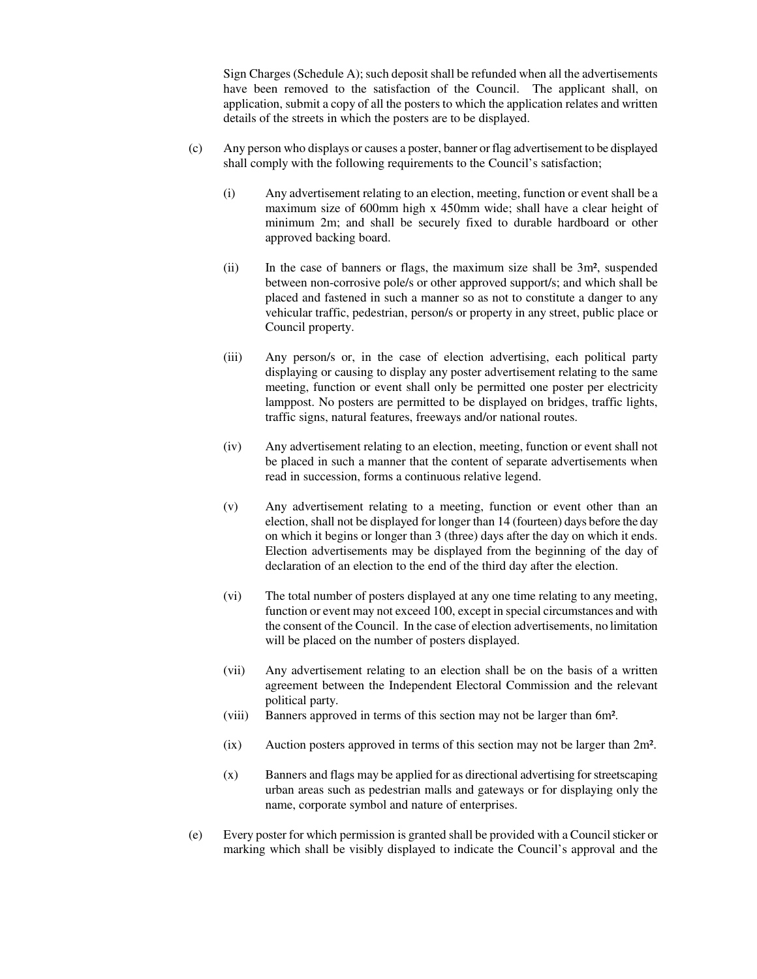Sign Charges (Schedule A); such deposit shall be refunded when all the advertisements have been removed to the satisfaction of the Council. The applicant shall, on application, submit a copy of all the posters to which the application relates and written details of the streets in which the posters are to be displayed.

- (c) Any person who displays or causes a poster, banner or flag advertisement to be displayed shall comply with the following requirements to the Council's satisfaction;
	- (i) Any advertisement relating to an election, meeting, function or event shall be a maximum size of 600mm high x 450mm wide; shall have a clear height of minimum 2m; and shall be securely fixed to durable hardboard or other approved backing board.
	- (ii) In the case of banners or flags, the maximum size shall be 3m², suspended between non-corrosive pole/s or other approved support/s; and which shall be placed and fastened in such a manner so as not to constitute a danger to any vehicular traffic, pedestrian, person/s or property in any street, public place or Council property.
	- (iii) Any person/s or, in the case of election advertising, each political party displaying or causing to display any poster advertisement relating to the same meeting, function or event shall only be permitted one poster per electricity lamppost. No posters are permitted to be displayed on bridges, traffic lights, traffic signs, natural features, freeways and/or national routes.
	- (iv) Any advertisement relating to an election, meeting, function or event shall not be placed in such a manner that the content of separate advertisements when read in succession, forms a continuous relative legend.
	- (v) Any advertisement relating to a meeting, function or event other than an election, shall not be displayed for longer than 14 (fourteen) days before the day on which it begins or longer than 3 (three) days after the day on which it ends. Election advertisements may be displayed from the beginning of the day of declaration of an election to the end of the third day after the election.
	- (vi) The total number of posters displayed at any one time relating to any meeting, function or event may not exceed 100, except in special circumstances and with the consent of the Council. In the case of election advertisements, no limitation will be placed on the number of posters displayed.
	- (vii) Any advertisement relating to an election shall be on the basis of a written agreement between the Independent Electoral Commission and the relevant political party.
	- (viii) Banners approved in terms of this section may not be larger than 6m².
	- (ix) Auction posters approved in terms of this section may not be larger than 2m².
	- (x) Banners and flags may be applied for as directional advertising forstreetscaping urban areas such as pedestrian malls and gateways or for displaying only the name, corporate symbol and nature of enterprises.
- (e) Every poster for which permission is granted shall be provided with a Councilsticker or marking which shall be visibly displayed to indicate the Council's approval and the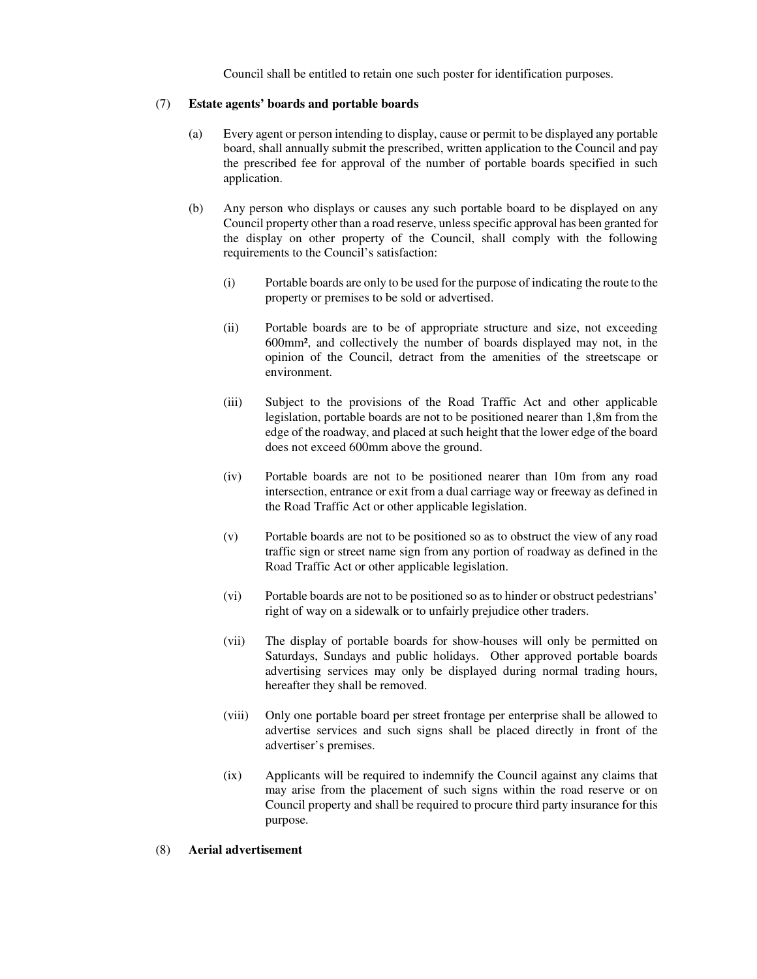Council shall be entitled to retain one such poster for identification purposes.

#### (7) **Estate agents' boards and portable boards**

- (a) Every agent or person intending to display, cause or permit to be displayed any portable board, shall annually submit the prescribed, written application to the Council and pay the prescribed fee for approval of the number of portable boards specified in such application.
- (b) Any person who displays or causes any such portable board to be displayed on any Council property other than a road reserve, unless specific approval has been granted for the display on other property of the Council, shall comply with the following requirements to the Council's satisfaction:
	- (i) Portable boards are only to be used for the purpose of indicating the route to the property or premises to be sold or advertised.
	- (ii) Portable boards are to be of appropriate structure and size, not exceeding 600mm², and collectively the number of boards displayed may not, in the opinion of the Council, detract from the amenities of the streetscape or environment.
	- (iii) Subject to the provisions of the Road Traffic Act and other applicable legislation, portable boards are not to be positioned nearer than 1,8m from the edge of the roadway, and placed at such height that the lower edge of the board does not exceed 600mm above the ground.
	- (iv) Portable boards are not to be positioned nearer than 10m from any road intersection, entrance or exit from a dual carriage way or freeway as defined in the Road Traffic Act or other applicable legislation.
	- (v) Portable boards are not to be positioned so as to obstruct the view of any road traffic sign or street name sign from any portion of roadway as defined in the Road Traffic Act or other applicable legislation.
	- (vi) Portable boards are not to be positioned so as to hinder or obstruct pedestrians' right of way on a sidewalk or to unfairly prejudice other traders.
	- (vii) The display of portable boards for show-houses will only be permitted on Saturdays, Sundays and public holidays. Other approved portable boards advertising services may only be displayed during normal trading hours, hereafter they shall be removed.
	- (viii) Only one portable board per street frontage per enterprise shall be allowed to advertise services and such signs shall be placed directly in front of the advertiser's premises.
	- (ix) Applicants will be required to indemnify the Council against any claims that may arise from the placement of such signs within the road reserve or on Council property and shall be required to procure third party insurance for this purpose.

#### (8) **Aerial advertisement**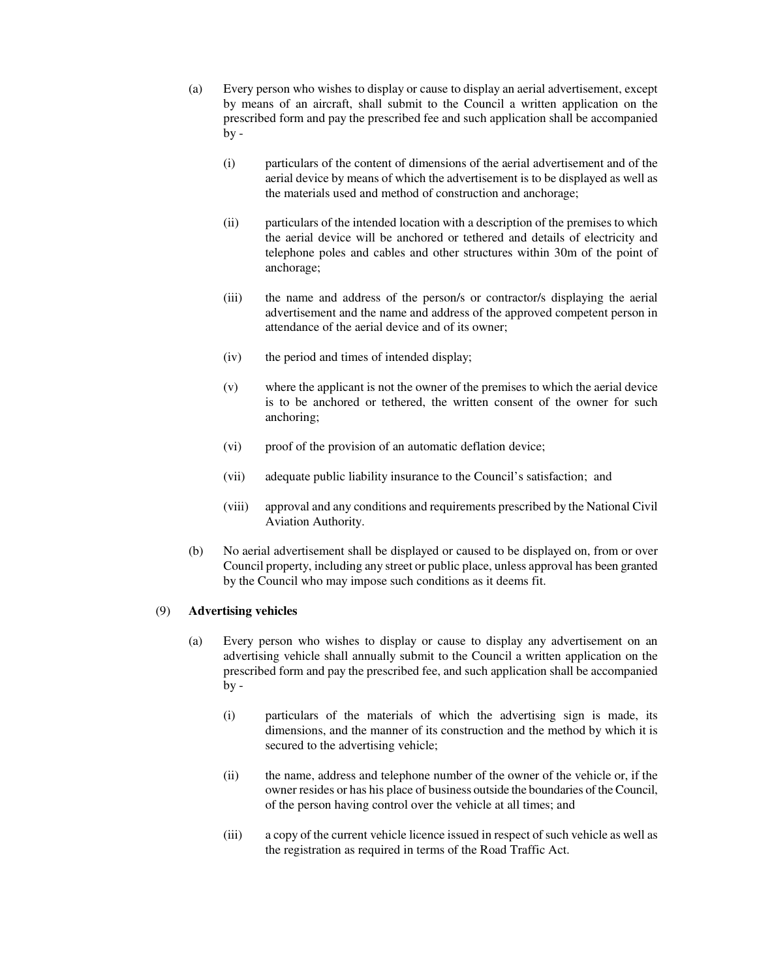- (a) Every person who wishes to display or cause to display an aerial advertisement, except by means of an aircraft, shall submit to the Council a written application on the prescribed form and pay the prescribed fee and such application shall be accompanied  $by -$ 
	- (i) particulars of the content of dimensions of the aerial advertisement and of the aerial device by means of which the advertisement is to be displayed as well as the materials used and method of construction and anchorage;
	- (ii) particulars of the intended location with a description of the premises to which the aerial device will be anchored or tethered and details of electricity and telephone poles and cables and other structures within 30m of the point of anchorage;
	- (iii) the name and address of the person/s or contractor/s displaying the aerial advertisement and the name and address of the approved competent person in attendance of the aerial device and of its owner;
	- (iv) the period and times of intended display;
	- (v) where the applicant is not the owner of the premises to which the aerial device is to be anchored or tethered, the written consent of the owner for such anchoring;
	- (vi) proof of the provision of an automatic deflation device;
	- (vii) adequate public liability insurance to the Council's satisfaction; and
	- (viii) approval and any conditions and requirements prescribed by the National Civil Aviation Authority.
- (b) No aerial advertisement shall be displayed or caused to be displayed on, from or over Council property, including any street or public place, unless approval has been granted by the Council who may impose such conditions as it deems fit.

#### (9) **Advertising vehicles**

- (a) Every person who wishes to display or cause to display any advertisement on an advertising vehicle shall annually submit to the Council a written application on the prescribed form and pay the prescribed fee, and such application shall be accompanied  $by -$ 
	- (i) particulars of the materials of which the advertising sign is made, its dimensions, and the manner of its construction and the method by which it is secured to the advertising vehicle;
	- (ii) the name, address and telephone number of the owner of the vehicle or, if the owner resides or has his place of business outside the boundaries of the Council, of the person having control over the vehicle at all times; and
	- (iii) a copy of the current vehicle licence issued in respect ofsuch vehicle as well as the registration as required in terms of the Road Traffic Act.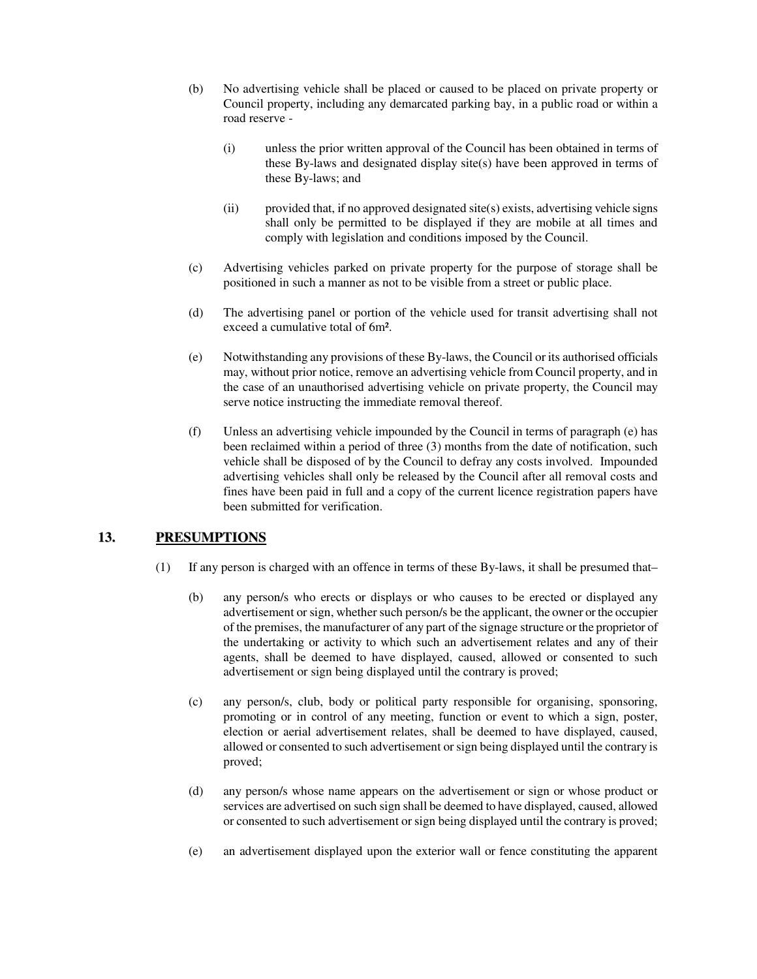- (b) No advertising vehicle shall be placed or caused to be placed on private property or Council property, including any demarcated parking bay, in a public road or within a road reserve -
	- (i) unless the prior written approval of the Council has been obtained in terms of these By-laws and designated display site(s) have been approved in terms of these By-laws; and
	- (ii) provided that, if no approved designated site(s) exists, advertising vehicle signs shall only be permitted to be displayed if they are mobile at all times and comply with legislation and conditions imposed by the Council.
- (c) Advertising vehicles parked on private property for the purpose of storage shall be positioned in such a manner as not to be visible from a street or public place.
- (d) The advertising panel or portion of the vehicle used for transit advertising shall not exceed a cumulative total of 6m².
- (e) Notwithstanding any provisions of these By-laws, the Council or its authorised officials may, without prior notice, remove an advertising vehicle from Council property, and in the case of an unauthorised advertising vehicle on private property, the Council may serve notice instructing the immediate removal thereof.
- (f) Unless an advertising vehicle impounded by the Council in terms of paragraph (e) has been reclaimed within a period of three (3) months from the date of notification, such vehicle shall be disposed of by the Council to defray any costs involved. Impounded advertising vehicles shall only be released by the Council after all removal costs and fines have been paid in full and a copy of the current licence registration papers have been submitted for verification.

## **13. PRESUMPTIONS**

- (1) If any person is charged with an offence in terms of these By-laws, it shall be presumed that–
	- (b) any person/s who erects or displays or who causes to be erected or displayed any advertisement or sign, whether such person/s be the applicant, the owner or the occupier of the premises, the manufacturer of any part of the signage structure or the proprietor of the undertaking or activity to which such an advertisement relates and any of their agents, shall be deemed to have displayed, caused, allowed or consented to such advertisement or sign being displayed until the contrary is proved;
	- (c) any person/s, club, body or political party responsible for organising, sponsoring, promoting or in control of any meeting, function or event to which a sign, poster, election or aerial advertisement relates, shall be deemed to have displayed, caused, allowed or consented to such advertisement orsign being displayed until the contrary is proved;
	- (d) any person/s whose name appears on the advertisement or sign or whose product or services are advertised on such sign shall be deemed to have displayed, caused, allowed or consented to such advertisement or sign being displayed until the contrary is proved;
	- (e) an advertisement displayed upon the exterior wall or fence constituting the apparent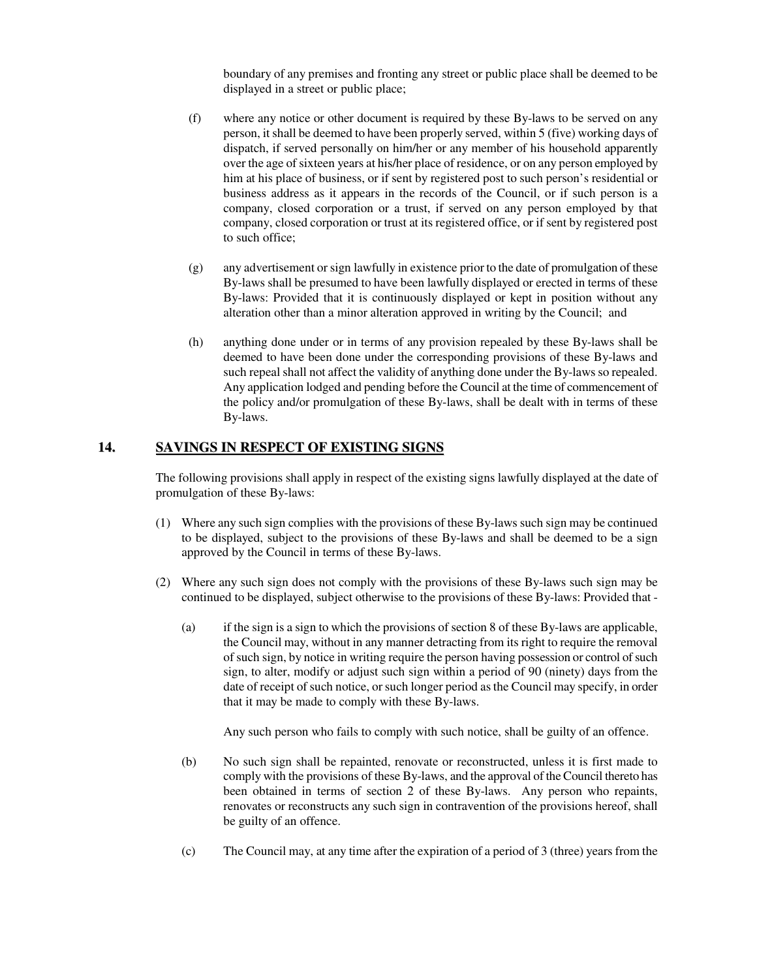boundary of any premises and fronting any street or public place shall be deemed to be displayed in a street or public place;

- (f) where any notice or other document is required by these By-laws to be served on any person, it shall be deemed to have been properly served, within 5 (five) working days of dispatch, if served personally on him/her or any member of his household apparently over the age of sixteen years at his/her place of residence, or on any person employed by him at his place of business, or if sent by registered post to such person's residential or business address as it appears in the records of the Council, or if such person is a company, closed corporation or a trust, if served on any person employed by that company, closed corporation or trust at its registered office, or if sent by registered post to such office;
- (g) any advertisement orsign lawfully in existence prior to the date of promulgation of these By-laws shall be presumed to have been lawfully displayed or erected in terms of these By-laws: Provided that it is continuously displayed or kept in position without any alteration other than a minor alteration approved in writing by the Council; and
- (h) anything done under or in terms of any provision repealed by these By-laws shall be deemed to have been done under the corresponding provisions of these By-laws and such repeal shall not affect the validity of anything done under the By-lawsso repealed. Any application lodged and pending before the Council at the time of commencement of the policy and/or promulgation of these By-laws, shall be dealt with in terms of these By-laws.

### **14. SAVINGS IN RESPECT OF EXISTING SIGNS**

The following provisions shall apply in respect of the existing signs lawfully displayed at the date of promulgation of these By-laws:

- (1) Where any such sign complies with the provisions of these By-laws such sign may be continued to be displayed, subject to the provisions of these By-laws and shall be deemed to be a sign approved by the Council in terms of these By-laws.
- (2) Where any such sign does not comply with the provisions of these By-laws such sign may be continued to be displayed, subject otherwise to the provisions of these By-laws: Provided that -
	- (a) if the sign is a sign to which the provisions of section 8 of these By-laws are applicable, the Council may, without in any manner detracting from its right to require the removal of such sign, by notice in writing require the person having possession or control of such sign, to alter, modify or adjust such sign within a period of 90 (ninety) days from the date of receipt of such notice, or such longer period as the Council may specify, in order that it may be made to comply with these By-laws.

Any such person who fails to comply with such notice, shall be guilty of an offence.

- (b) No such sign shall be repainted, renovate or reconstructed, unless it is first made to comply with the provisions of these By-laws, and the approval of the Council thereto has been obtained in terms of section 2 of these By-laws. Any person who repaints, renovates or reconstructs any such sign in contravention of the provisions hereof, shall be guilty of an offence.
- (c) The Council may, at any time after the expiration of a period of 3 (three) years from the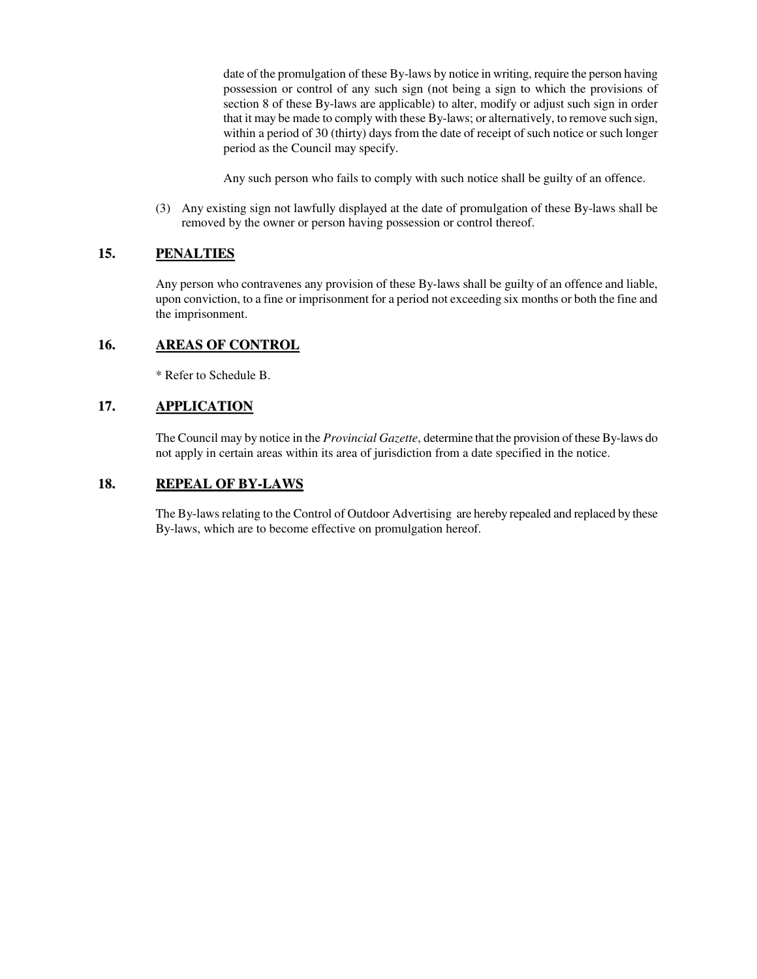date of the promulgation of these By-laws by notice in writing, require the person having possession or control of any such sign (not being a sign to which the provisions of section 8 of these By-laws are applicable) to alter, modify or adjust such sign in order that it may be made to comply with these By-laws; or alternatively, to remove such sign, within a period of 30 (thirty) days from the date of receipt of such notice or such longer period as the Council may specify.

Any such person who fails to comply with such notice shall be guilty of an offence.

(3) Any existing sign not lawfully displayed at the date of promulgation of these By-laws shall be removed by the owner or person having possession or control thereof.

### **15. PENALTIES**

Any person who contravenes any provision of these By-laws shall be guilty of an offence and liable, upon conviction, to a fine or imprisonment for a period not exceeding six months or both the fine and the imprisonment.

### **16. AREAS OF CONTROL**

\* Refer to Schedule B.

### **17. APPLICATION**

The Council may by notice in the *Provincial Gazette*, determine that the provision of these By-laws do not apply in certain areas within its area of jurisdiction from a date specified in the notice.

### **18. REPEAL OF BY-LAWS**

The By-laws relating to the Control of Outdoor Advertising are hereby repealed and replaced by these By-laws, which are to become effective on promulgation hereof.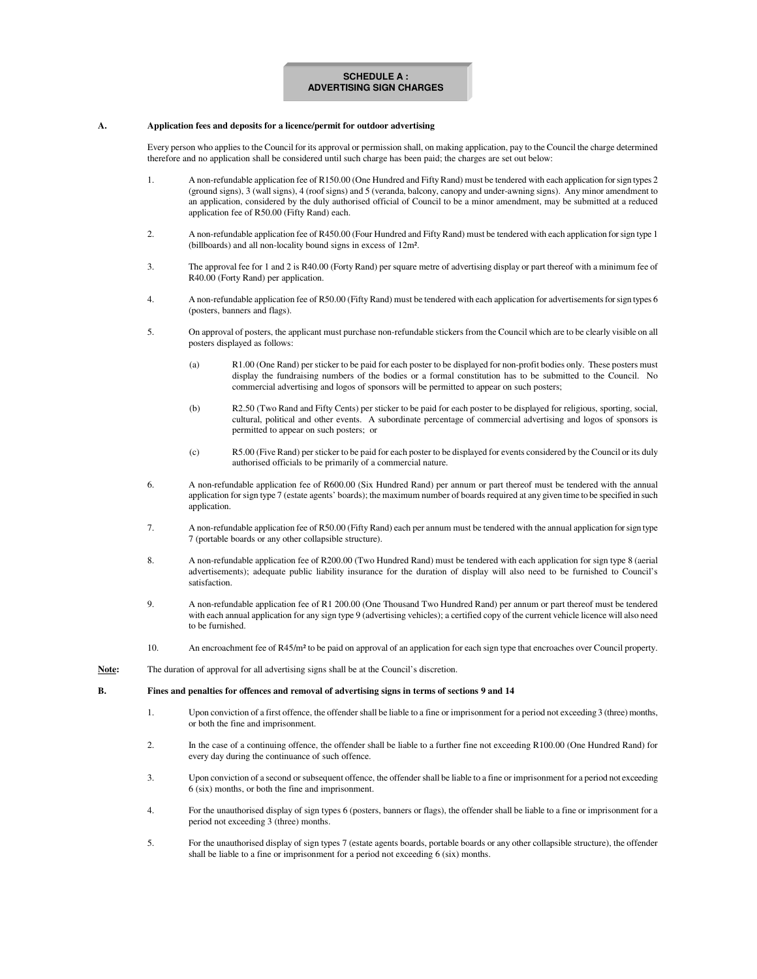#### **SCHEDULE A : ADVERTISING SIGN CHARGES**

#### **A. Application fees and deposits for a licence/permit for outdoor advertising**

Every person who applies to the Council for its approval or permission shall, on making application, pay to the Council the charge determined therefore and no application shall be considered until such charge has been paid; the charges are set out below:

- 1. A non-refundable application fee of R150.00 (One Hundred and FiftyRand) must be tendered with each application forsign types 2 (ground signs), 3 (wall signs), 4 (roof signs) and 5 (veranda, balcony, canopy and under-awning signs). Any minor amendment to an application, considered by the duly authorised official of Council to be a minor amendment, may be submitted at a reduced application fee of R50.00 (Fifty Rand) each.
- 2. A non-refundable application fee of R450.00 (Four Hundred and Fifty Rand) must be tendered with each application for sign type 1 (billboards) and all non-locality bound signs in excess of 12m².
- 3. The approval fee for 1 and 2 is R40.00 (Forty Rand) per square metre of advertising display or part thereof with a minimum fee of R40.00 (Forty Rand) per application.
- 4. A non-refundable application fee of R50.00 (Fifty Rand) must be tendered with each application for advertisementsforsign types 6 (posters, banners and flags).
- 5. On approval of posters, the applicant must purchase non-refundable stickers from the Council which are to be clearly visible on all posters displayed as follows:
	- (a) R1.00 (One Rand) per sticker to be paid for each poster to be displayed for non-profit bodies only. These posters must display the fundraising numbers of the bodies or a formal constitution has to be submitted to the Council. No commercial advertising and logos of sponsors will be permitted to appear on such posters;
	- (b) R2.50 (Two Rand and Fifty Cents) per sticker to be paid for each poster to be displayed for religious, sporting, social, cultural, political and other events. A subordinate percentage of commercial advertising and logos of sponsors is permitted to appear on such posters; or
	- (c) R5.00 (Five Rand) per sticker to be paid for each poster to be displayed for events considered by the Council or its duly authorised officials to be primarily of a commercial nature.
- 6. A non-refundable application fee of R600.00 (Six Hundred Rand) per annum or part thereof must be tendered with the annual application for sign type 7 (estate agents' boards); the maximum number of boards required at any given time to be specified in such application.
- 7. A non-refundable application fee of R50.00 (Fifty Rand) each per annum must be tendered with the annual application forsign type 7 (portable boards or any other collapsible structure).
- 8. A non-refundable application fee of R200.00 (Two Hundred Rand) must be tendered with each application for sign type 8 (aerial advertisements); adequate public liability insurance for the duration of display will also need to be furnished to Council's satisfaction.
- 9. A non-refundable application fee of R1 200.00 (One Thousand Two Hundred Rand) per annum or part thereof must be tendered with each annual application for any sign type 9 (advertising vehicles); a certified copy of the current vehicle licence will also need to be furnished.
- 10. An encroachment fee of R45/m² to be paid on approval of an application for each sign type that encroaches over Council property.
- **Note:** The duration of approval for all advertising signs shall be at the Council's discretion.

#### **B. Fines and penalties for offences and removal of advertising signs in terms of sections 9 and 14**

- 1. Upon conviction of a first offence, the offender shall be liable to a fine or imprisonment for a period not exceeding 3 (three) months, or both the fine and imprisonment.
- 2. In the case of a continuing offence, the offender shall be liable to a further fine not exceeding R100.00 (One Hundred Rand) for every day during the continuance of such offence.
- 3. Upon conviction of a second or subsequent offence, the offender shall be liable to a fine or imprisonment for a period not exceeding 6 (six) months, or both the fine and imprisonment.
- 4. For the unauthorised display of sign types 6 (posters, banners or flags), the offender shall be liable to a fine or imprisonment for a period not exceeding 3 (three) months.
- 5. For the unauthorised display of sign types 7 (estate agents boards, portable boards or any other collapsible structure), the offender shall be liable to a fine or imprisonment for a period not exceeding 6 (six) months.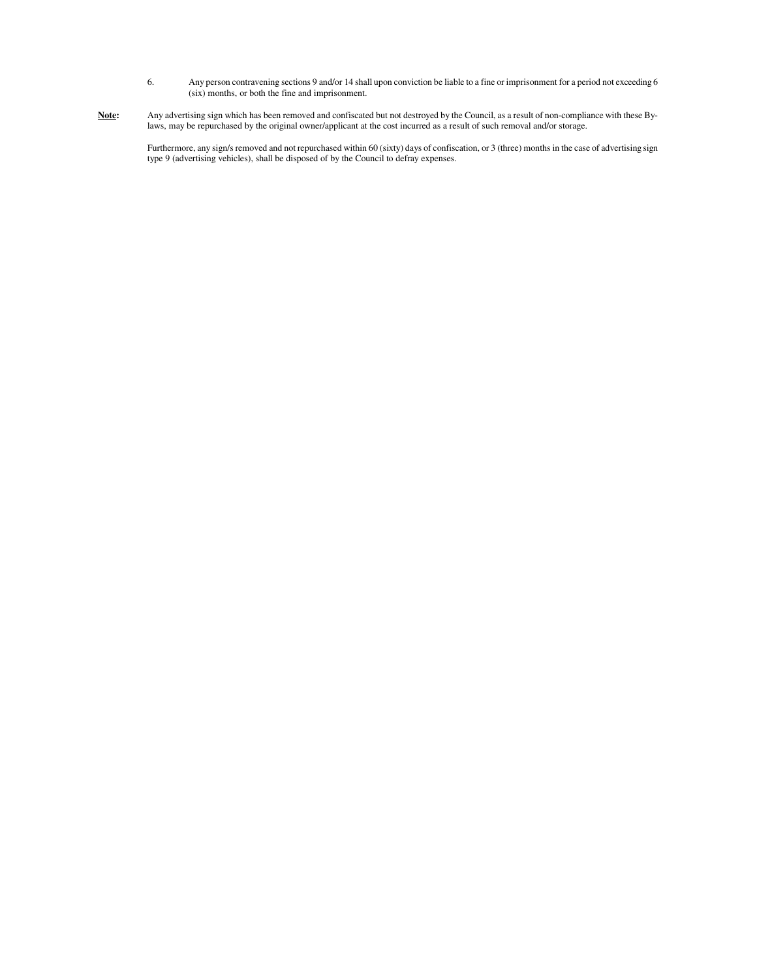- 6. Any person contravening sections 9 and/or 14 shall upon conviction be liable to a fine or imprisonment for a period not exceeding 6 (six) months, or both the fine and imprisonment.
- **Note:** Any advertising sign which has been removed and confiscated but not destroyed by the Council, as a result of non-compliance with these Bylaws, may be repurchased by the original owner/applicant at the cost incurred as a result of such removal and/or storage.

Furthermore, any sign/s removed and not repurchased within 60 (sixty) days of confiscation, or 3 (three) months in the case of advertising sign type 9 (advertising vehicles), shall be disposed of by the Council to defray expenses.